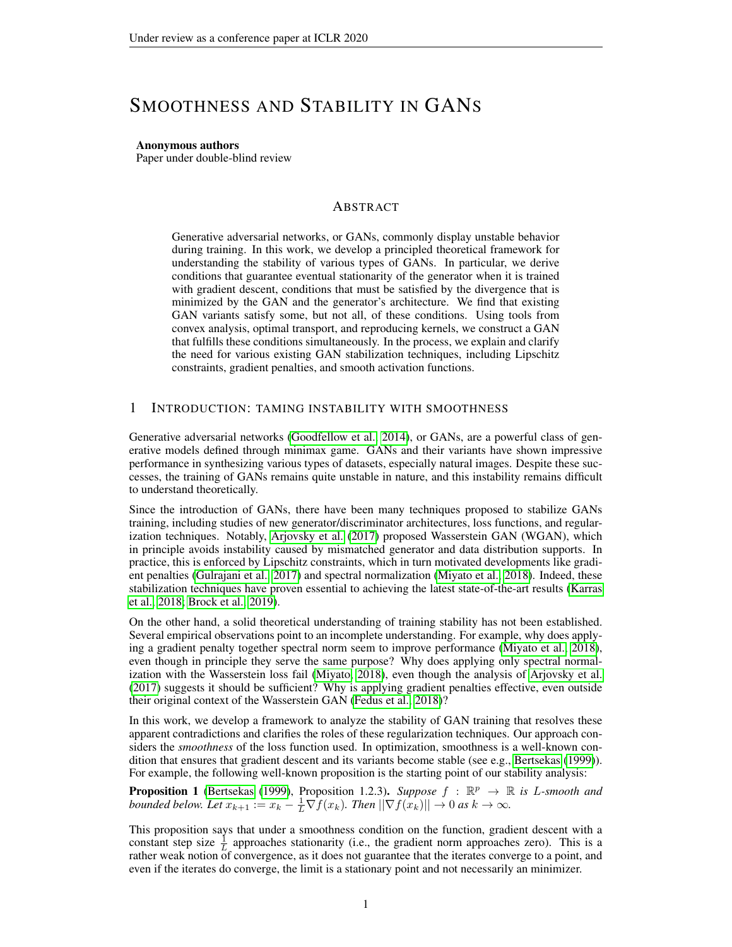# SMOOTHNESS AND STABILITY IN GANS

Anonymous authors

Paper under double-blind review

## ABSTRACT

Generative adversarial networks, or GANs, commonly display unstable behavior during training. In this work, we develop a principled theoretical framework for understanding the stability of various types of GANs. In particular, we derive conditions that guarantee eventual stationarity of the generator when it is trained with gradient descent, conditions that must be satisfied by the divergence that is minimized by the GAN and the generator's architecture. We find that existing GAN variants satisfy some, but not all, of these conditions. Using tools from convex analysis, optimal transport, and reproducing kernels, we construct a GAN that fulfills these conditions simultaneously. In the process, we explain and clarify the need for various existing GAN stabilization techniques, including Lipschitz constraints, gradient penalties, and smooth activation functions.

## <span id="page-0-1"></span>1 INTRODUCTION: TAMING INSTABILITY WITH SMOOTHNESS

Generative adversarial networks [\(Goodfellow et al., 2014\)](#page-10-0), or GANs, are a powerful class of generative models defined through minimax game. GANs and their variants have shown impressive performance in synthesizing various types of datasets, especially natural images. Despite these successes, the training of GANs remains quite unstable in nature, and this instability remains difficult to understand theoretically.

Since the introduction of GANs, there have been many techniques proposed to stabilize GANs training, including studies of new generator/discriminator architectures, loss functions, and regularization techniques. Notably, [Arjovsky et al.](#page-10-1) [\(2017\)](#page-10-1) proposed Wasserstein GAN (WGAN), which in principle avoids instability caused by mismatched generator and data distribution supports. In practice, this is enforced by Lipschitz constraints, which in turn motivated developments like gradient penalties [\(Gulrajani et al., 2017\)](#page-10-2) and spectral normalization [\(Miyato et al., 2018\)](#page-11-0). Indeed, these stabilization techniques have proven essential to achieving the latest state-of-the-art results [\(Karras](#page-11-1) [et al., 2018;](#page-11-1) [Brock et al., 2019\)](#page-10-3).

On the other hand, a solid theoretical understanding of training stability has not been established. Several empirical observations point to an incomplete understanding. For example, why does applying a gradient penalty together spectral norm seem to improve performance [\(Miyato et al., 2018\)](#page-11-0), even though in principle they serve the same purpose? Why does applying only spectral normalization with the Wasserstein loss fail [\(Miyato, 2018\)](#page-11-2), even though the analysis of [Arjovsky et al.](#page-10-1) [\(2017\)](#page-10-1) suggests it should be sufficient? Why is applying gradient penalties effective, even outside their original context of the Wasserstein GAN [\(Fedus et al., 2018\)](#page-10-4)?

In this work, we develop a framework to analyze the stability of GAN training that resolves these apparent contradictions and clarifies the roles of these regularization techniques. Our approach considers the *smoothness* of the loss function used. In optimization, smoothness is a well-known condition that ensures that gradient descent and its variants become stable (see e.g., [Bertsekas](#page-10-5) [\(1999\)](#page-10-5)). For example, the following well-known proposition is the starting point of our stability analysis:

<span id="page-0-0"></span>**Proposition 1** [\(Bertsekas](#page-10-5) [\(1999\)](#page-10-5), Proposition 1.2.3). *Suppose*  $f : \mathbb{R}^p \to \mathbb{R}$  is *L*-smooth and *bounded below. Let*  $x_{k+1} := x_k - \frac{1}{L} \nabla f(x_k)$ *. Then*  $||\nabla f(x_k)|| \to 0$  *as*  $k \to \infty$ *.* 

This proposition says that under a smoothness condition on the function, gradient descent with a constant step size  $\frac{1}{L}$  approaches stationarity (i.e., the gradient norm approaches zero). This is a rather weak notion of convergence, as it does not guarantee that the iterates converge to a point, and even if the iterates do converge, the limit is a stationary point and not necessarily an minimizer.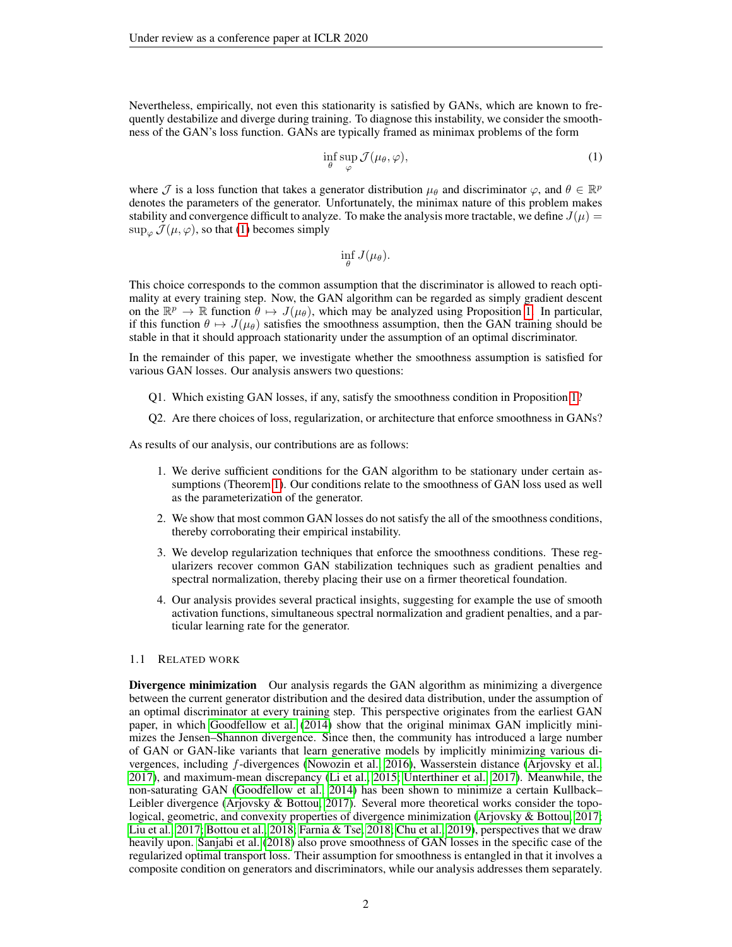Nevertheless, empirically, not even this stationarity is satisfied by GANs, which are known to frequently destabilize and diverge during training. To diagnose this instability, we consider the smoothness of the GAN's loss function. GANs are typically framed as minimax problems of the form

<span id="page-1-0"></span>
$$
\inf_{\theta} \sup_{\varphi} \mathcal{J}(\mu_{\theta}, \varphi),\tag{1}
$$

where  $\mathcal J$  is a loss function that takes a generator distribution  $\mu_\theta$  and discriminator  $\varphi$ , and  $\theta \in \mathbb{R}^p$ denotes the parameters of the generator. Unfortunately, the minimax nature of this problem makes stability and convergence difficult to analyze. To make the analysis more tractable, we define  $J(\mu)$  $\sup_{\varphi} \mathcal{J}(\mu, \varphi)$ , so that [\(1\)](#page-1-0) becomes simply

$$
\inf_{\theta} J(\mu_{\theta}).
$$

This choice corresponds to the common assumption that the discriminator is allowed to reach optimality at every training step. Now, the GAN algorithm can be regarded as simply gradient descent on the  $\mathbb{R}^p \to \mathbb{R}$  function  $\theta \mapsto J(\mu_\theta)$ , which may be analyzed using Proposition [1.](#page-0-0) In particular, if this function  $\theta \mapsto J(\mu_{\theta})$  satisfies the smoothness assumption, then the GAN training should be stable in that it should approach stationarity under the assumption of an optimal discriminator.

In the remainder of this paper, we investigate whether the smoothness assumption is satisfied for various GAN losses. Our analysis answers two questions:

- Q1. Which existing GAN losses, if any, satisfy the smoothness condition in Proposition [1?](#page-0-0)
- Q2. Are there choices of loss, regularization, or architecture that enforce smoothness in GANs?

As results of our analysis, our contributions are as follows:

- 1. We derive sufficient conditions for the GAN algorithm to be stationary under certain assumptions (Theorem [1\)](#page-3-0). Our conditions relate to the smoothness of GAN loss used as well as the parameterization of the generator.
- 2. We show that most common GAN losses do not satisfy the all of the smoothness conditions, thereby corroborating their empirical instability.
- 3. We develop regularization techniques that enforce the smoothness conditions. These regularizers recover common GAN stabilization techniques such as gradient penalties and spectral normalization, thereby placing their use on a firmer theoretical foundation.
- 4. Our analysis provides several practical insights, suggesting for example the use of smooth activation functions, simultaneous spectral normalization and gradient penalties, and a particular learning rate for the generator.

#### 1.1 RELATED WORK

Divergence minimization Our analysis regards the GAN algorithm as minimizing a divergence between the current generator distribution and the desired data distribution, under the assumption of an optimal discriminator at every training step. This perspective originates from the earliest GAN paper, in which [Goodfellow et al.](#page-10-0) [\(2014\)](#page-10-0) show that the original minimax GAN implicitly minimizes the Jensen–Shannon divergence. Since then, the community has introduced a large number of GAN or GAN-like variants that learn generative models by implicitly minimizing various divergences, including f-divergences [\(Nowozin et al., 2016\)](#page-11-3), Wasserstein distance [\(Arjovsky et al.,](#page-10-1) [2017\)](#page-10-1), and maximum-mean discrepancy [\(Li et al., 2015;](#page-11-4) [Unterthiner et al., 2017\)](#page-12-0). Meanwhile, the non-saturating GAN [\(Goodfellow et al., 2014\)](#page-10-0) has been shown to minimize a certain Kullback– Leibler divergence [\(Arjovsky & Bottou, 2017\)](#page-10-6). Several more theoretical works consider the topological, geometric, and convexity properties of divergence minimization [\(Arjovsky & Bottou, 2017;](#page-10-6) [Liu et al., 2017;](#page-11-5) [Bottou et al., 2018;](#page-10-7) [Farnia & Tse, 2018;](#page-10-8) [Chu et al., 2019\)](#page-10-9), perspectives that we draw heavily upon. [Sanjabi et al.](#page-12-1) [\(2018\)](#page-12-1) also prove smoothness of GAN losses in the specific case of the regularized optimal transport loss. Their assumption for smoothness is entangled in that it involves a composite condition on generators and discriminators, while our analysis addresses them separately.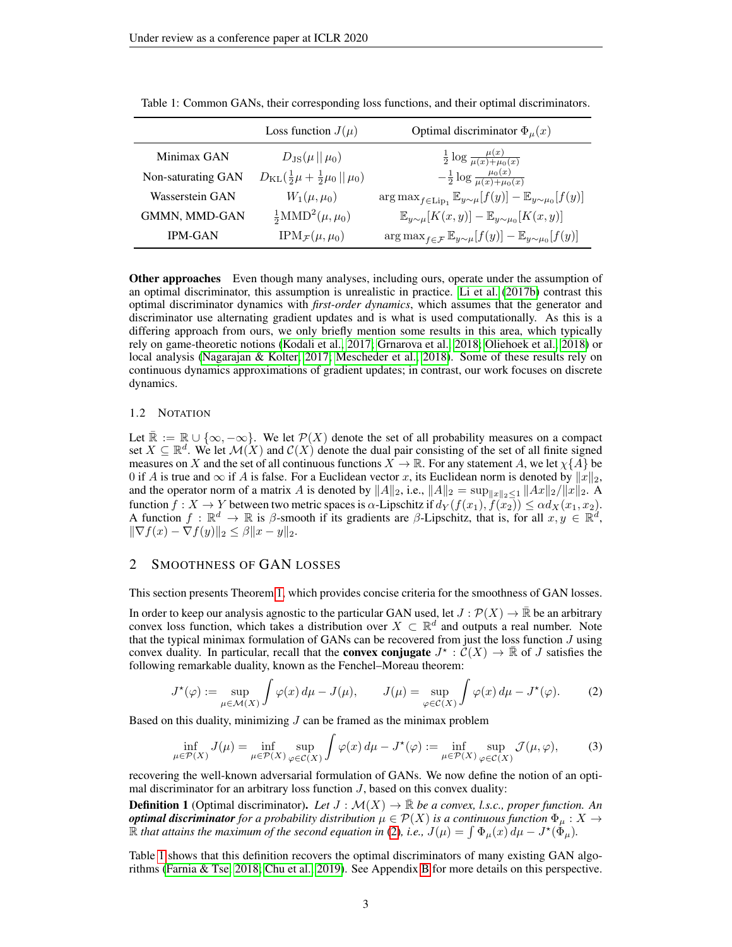|                    | Loss function $J(\mu)$                                     | Optimal discriminator $\Phi_{\mu}(x)$                                                            |
|--------------------|------------------------------------------------------------|--------------------------------------------------------------------------------------------------|
| Minimax GAN        | $D_{\rm JS}(\mu  \mu_0)$                                   | $\frac{1}{2} \log \frac{\mu(x)}{\mu(x) + \mu_0(x)}$                                              |
| Non-saturating GAN | $D_{\text{KL}}(\frac{1}{2}\mu + \frac{1}{2}\mu_0 \ \mu_0)$ | $-\frac{1}{2} \log \frac{\mu_0(x)}{\mu(x) + \mu_0(x)}$                                           |
| Wasserstein GAN    | $W_1(\mu,\mu_0)$                                           | $\arg \max_{f \in \text{Lip}_1} \mathbb{E}_{y \sim \mu}[f(y)] - \mathbb{E}_{y \sim \mu_0}[f(y)]$ |
| GMMN, MMD-GAN      | $\frac{1}{2} \text{MMD}^2(\mu, \mu_0)$                     | $\mathbb{E}_{y\sim\mu}[K(x,y)] - \mathbb{E}_{y\sim\mu_0}[K(x,y)]$                                |
| <b>IPM-GAN</b>     | $IPM_{\mathcal{F}}(\mu,\mu_0)$                             | $\arg \max_{f \in \mathcal{F}} \mathbb{E}_{y \sim \mu}[f(y)] - \mathbb{E}_{y \sim \mu_0}[f(y)]$  |

<span id="page-2-1"></span>Table 1: Common GANs, their corresponding loss functions, and their optimal discriminators.

**Other approaches** Even though many analyses, including ours, operate under the assumption of an optimal discriminator, this assumption is unrealistic in practice. [Li et al.](#page-11-6) [\(2017b\)](#page-11-6) contrast this optimal discriminator dynamics with *first-order dynamics*, which assumes that the generator and discriminator use alternating gradient updates and is what is used computationally. As this is a differing approach from ours, we only briefly mention some results in this area, which typically rely on game-theoretic notions [\(Kodali et al., 2017;](#page-11-7) [Grnarova et al., 2018;](#page-10-10) [Oliehoek et al., 2018\)](#page-11-8) or local analysis [\(Nagarajan & Kolter, 2017;](#page-11-9) [Mescheder et al., 2018\)](#page-11-10). Some of these results rely on continuous dynamics approximations of gradient updates; in contrast, our work focuses on discrete dynamics.

#### 1.2 NOTATION

Let  $\mathbb{R} := \mathbb{R} \cup \{\infty, -\infty\}$ . We let  $\mathcal{P}(X)$  denote the set of all probability measures on a compact set  $X \subseteq \mathbb{R}^d$ . We let  $\mathcal{M}(X)$  and  $\mathcal{C}(X)$  denote the dual pair consisting of the set of all finite signed measures on X and the set of all continuous functions  $X \to \mathbb{R}$ . For any statement A, we let  $\chi\{A\}$  be 0 if A is true and  $\infty$  if A is false. For a Euclidean vector x, its Euclidean norm is denoted by  $||x||_2$ , and the operator norm of a matrix A is denoted by  $||A||_2$ , i.e.,  $||A||_2 = \sup_{||x||_2 \leq 1} ||Ax||_2/||x||_2$ . A function  $f: X \to Y$  between two metric spaces is  $\alpha$ -Lipschitz if  $d_Y(f(x_1), f(x_2)) \leq \alpha d_X(x_1, x_2)$ .<br>A function  $f: \mathbb{R}^d \to \mathbb{R}$  is  $\beta$ -smooth if its gradients are  $\beta$ -Lipschitz, that is, for all  $x, y \in \mathbb{R}^d$ ,  $\|\nabla f(x) - \nabla f(y)\|_2 \leq \beta \|x - y\|_2.$ 

## <span id="page-2-2"></span>2 SMOOTHNESS OF GAN LOSSES

This section presents Theorem [1,](#page-3-0) which provides concise criteria for the smoothness of GAN losses.

In order to keep our analysis agnostic to the particular GAN used, let  $J : \mathcal{P}(X) \to \mathbb{R}$  be an arbitrary convex loss function, which takes a distribution over  $X \subset \mathbb{R}^d$  and outputs a real number. Note that the typical minimax formulation of GANs can be recovered from just the loss function  $J$  using convex duality. In particular, recall that the **convex conjugate**  $J^* : \mathcal{C}(X) \to \mathbb{R}$  of J satisfies the following remarkable duality, known as the Fenchel–Moreau theorem:

<span id="page-2-0"></span>
$$
J^{\star}(\varphi) := \sup_{\mu \in \mathcal{M}(X)} \int \varphi(x) d\mu - J(\mu), \qquad J(\mu) = \sup_{\varphi \in \mathcal{C}(X)} \int \varphi(x) d\mu - J^{\star}(\varphi). \tag{2}
$$

Based on this duality, minimizing  $J$  can be framed as the minimax problem

<span id="page-2-3"></span>
$$
\inf_{\mu \in \mathcal{P}(X)} J(\mu) = \inf_{\mu \in \mathcal{P}(X)} \sup_{\varphi \in \mathcal{C}(X)} \int \varphi(x) \, d\mu - J^*(\varphi) := \inf_{\mu \in \mathcal{P}(X)} \sup_{\varphi \in \mathcal{C}(X)} \mathcal{J}(\mu, \varphi),\tag{3}
$$

recovering the well-known adversarial formulation of GANs. We now define the notion of an optimal discriminator for an arbitrary loss function  $J$ , based on this convex duality:

<span id="page-2-4"></span>**Definition 1** (Optimal discriminator). Let  $J : \mathcal{M}(X) \to \mathbb{R}$  be a convex, l.s.c., proper function. An *optimal discriminator* for a probability distribution  $\mu \in \mathcal{P}(X)$  is a continuous function  $\Phi_{\mu}: X \to Y$  $\hat{\mathbb{R}}$  *that attains the maximum of the second equation in* [\(2\)](#page-2-0), *i.e.*,  $J(\mu) = \int \Phi_{\mu}(x) d\mu - J^{\star}(\tilde{\Phi}_{\mu})$ .

Table [1](#page-2-1) shows that this definition recovers the optimal discriminators of many existing GAN algorithms [\(Farnia & Tse, 2018;](#page-10-8) [Chu et al., 2019\)](#page-10-9). See Appendix [B](#page-13-0) for more details on this perspective.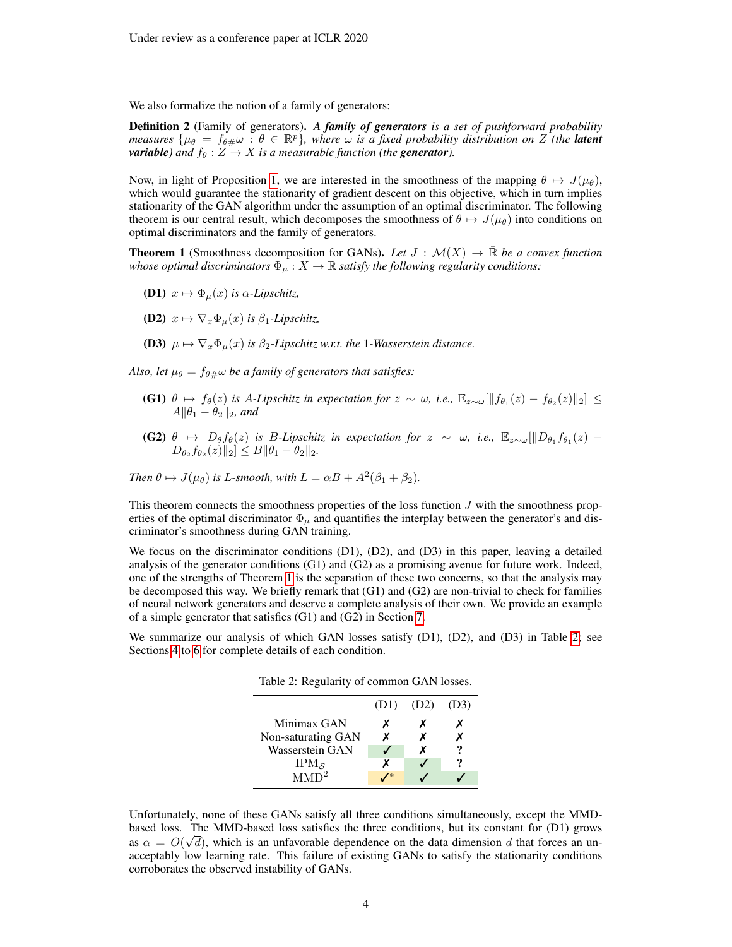We also formalize the notion of a family of generators:

Definition 2 (Family of generators). *A family of generators is a set of pushforward probability measures*  $\{\mu_{\theta} = f_{\theta\#}\omega : \theta \in \mathbb{R}^p\}$ , where  $\omega$  is a fixed probability distribution on Z (the **latent** *variable)* and  $f_{\theta}: Z \rightarrow X$  *is a measurable function (the generator).* 

Now, in light of Proposition [1,](#page-0-0) we are interested in the smoothness of the mapping  $\theta \mapsto J(\mu_{\theta})$ , which would guarantee the stationarity of gradient descent on this objective, which in turn implies stationarity of the GAN algorithm under the assumption of an optimal discriminator. The following theorem is our central result, which decomposes the smoothness of  $\theta \mapsto J(\mu_{\theta})$  into conditions on optimal discriminators and the family of generators.

<span id="page-3-0"></span>**Theorem 1** (Smoothness decomposition for GANs). Let  $J : \mathcal{M}(X) \to \mathbb{R}$  be a convex function *whose optimal discriminators*  $\Phi_{\mu}: X \to \mathbb{R}$  *satisfy the following regularity conditions:* 

- **(D1)**  $x \mapsto \Phi_{\mu}(x)$  *is*  $\alpha$ -*Lipschitz*,
- **(D2)**  $x \mapsto \nabla_x \Phi_\mu(x)$  *is*  $\beta_1$ *-Lipschitz,*
- (D3)  $\mu \mapsto \nabla_x \Phi_\mu(x)$  *is*  $\beta_2$ -Lipschitz w.r.t. the 1-Wasserstein distance.

*Also, let*  $\mu_{\theta} = f_{\theta \pm} \omega$  *be a family of generators that satisfies:* 

- (G1)  $\theta \mapsto f_{\theta}(z)$  *is A-Lipschitz in expectation for*  $z \sim \omega$ *, i.e.*,  $\mathbb{E}_{z \sim \omega}[\|f_{\theta_1}(z) f_{\theta_2}(z)\|_2]$  ≤  $A\|\theta_1 - \theta_2\|_2$ *, and*
- (G2)  $\theta \mapsto D_{\theta}f_{\theta}(z)$  *is B-Lipschitz in expectation for*  $z \sim \omega$ *, i.e.,*  $\mathbb{E}_{z \sim \omega}[\Vert D_{\theta_1}f_{\theta_1}(z) D_{\theta_2} f_{\theta_2}(z) \|_2 \leq B \|\theta_1 - \theta_2\|_2.$

*Then*  $\theta \mapsto J(\mu_{\theta})$  *is L*-*smooth, with*  $L = \alpha B + A^2(\beta_1 + \beta_2)$ *.* 

This theorem connects the smoothness properties of the loss function  $J$  with the smoothness properties of the optimal discriminator  $\Phi_{\mu}$  and quantifies the interplay between the generator's and discriminator's smoothness during GAN training.

We focus on the discriminator conditions (D1), (D2), and (D3) in this paper, leaving a detailed analysis of the generator conditions  $(G1)$  and  $(G2)$  as a promising avenue for future work. Indeed, one of the strengths of Theorem [1](#page-3-0) is the separation of these two concerns, so that the analysis may be decomposed this way. We briefly remark that (G1) and (G2) are non-trivial to check for families of neural network generators and deserve a complete analysis of their own. We provide an example of a simple generator that satisfies (G1) and (G2) in Section [7.](#page-8-0)

<span id="page-3-1"></span>We summarize our analysis of which GAN losses satisfy (D1), (D2), and (D3) in Table [2;](#page-3-1) see Sections [4](#page-5-0) to [6](#page-7-0) for complete details of each condition.

Table 2: Regularity of common GAN losses.

|                     | (D1) | (D2) | (D3) |
|---------------------|------|------|------|
| Minimax GAN         |      |      |      |
| Non-saturating GAN  | x    |      |      |
| Wasserstein GAN     |      |      |      |
| $IPM_{\mathcal{S}}$ | x    |      |      |
| MMD <sup>2</sup>    |      |      |      |

Unfortunately, none of these GANs satisfy all three conditions simultaneously, except the MMDbased loss. The MMD-based loss satisfies the three conditions, but its constant for (D1) grows as  $\alpha = O(\sqrt{d})$ , which is an unfavorable dependence on the data dimension d that forces an unacceptably low learning rate. This failure of existing GANs to satisfy the stationarity conditions corroborates the observed instability of GANs.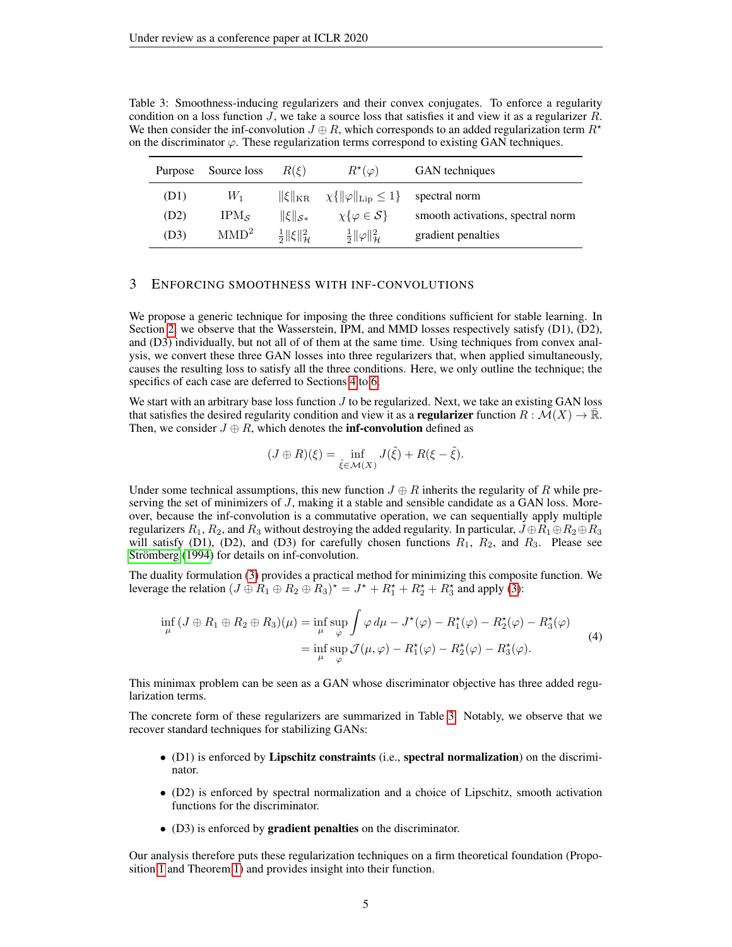| Purpose | Source loss      | $R(\xi)$                               | $R^{\star}(\varphi)$                                                | GAN techniques                    |
|---------|------------------|----------------------------------------|---------------------------------------------------------------------|-----------------------------------|
| (D1)    | $W_1$            |                                        | $\ \xi\ _{\text{KR}} \quad \chi\{\ \varphi\ _{\text{Lip}} \leq 1\}$ | spectral norm                     |
| (D2)    | $IPM_{S}$        | $\ \xi\ _{\mathcal{S}*}$               | $\chi\{\varphi \in \mathcal{S}\}\$                                  | smooth activations, spectral norm |
| (D3)    | MMD <sup>2</sup> | $rac{1}{2}$    $\xi$    $\frac{2}{11}$ | $rac{1}{2}  \varphi  ^2_{\mathcal{H}}$                              | gradient penalties                |

<span id="page-4-0"></span>Table 3: Smoothness-inducing regularizers and their convex conjugates. To enforce a regularity condition on a loss function  $J$ , we take a source loss that satisfies it and view it as a regularizer  $R$ . We then consider the inf-convolution  $J \oplus R$ , which corresponds to an added regularization term  $R^*$ on the discriminator  $\varphi$ . These regularization terms correspond to existing GAN techniques.

## <span id="page-4-1"></span>3 ENFORCING SMOOTHNESS WITH INF-CONVOLUTIONS

We propose a generic technique for imposing the three conditions sufficient for stable learning. In Section [2,](#page-2-2) we observe that the Wasserstein, IPM, and MMD losses respectively satisfy (D1), (D2), and (D3) individually, but not all of of them at the same time. Using techniques from convex analysis, we convert these three GAN losses into three regularizers that, when applied simultaneously, causes the resulting loss to satisfy all the three conditions. Here, we only outline the technique; the specifics of each case are deferred to Sections [4](#page-5-0) to [6.](#page-7-0)

We start with an arbitrary base loss function  $J$  to be regularized. Next, we take an existing GAN loss that satisfies the desired regularity condition and view it as a **regularizer** function  $R : \mathcal{M}(X) \to \mathbb{R}$ . Then, we consider  $J \oplus R$ , which denotes the **inf-convolution** defined as

<span id="page-4-2"></span>
$$
(J \oplus R)(\xi) = \inf_{\tilde{\xi} \in \mathcal{M}(X)} J(\tilde{\xi}) + R(\xi - \tilde{\xi}).
$$

Under some technical assumptions, this new function  $J \oplus R$  inherits the regularity of R while preserving the set of minimizers of J, making it a stable and sensible candidate as a GAN loss. Moreover, because the inf-convolution is a commutative operation, we can sequentially apply multiple regularizers  $R_1, R_2$ , and  $R_3$  without destroying the added regularity. In particular,  $J \oplus R_1 \oplus R_2 \oplus R_3$ will satisfy (D1), (D2), and (D3) for carefully chosen functions  $R_1$ ,  $R_2$ , and  $R_3$ . Please see Strömberg [\(1994\)](#page-12-2) for details on inf-convolution.

The duality formulation [\(3\)](#page-2-3) provides a practical method for minimizing this composite function. We leverage the relation  $(J \oplus R_1 \oplus R_2 \oplus R_3)^* = J^* + R_1^* + R_2^* + R_3^*$  and apply [\(3\)](#page-2-3):

$$
\inf_{\mu} (J \oplus R_1 \oplus R_2 \oplus R_3)(\mu) = \inf_{\mu} \sup_{\varphi} \int \varphi \, d\mu - J^*(\varphi) - R_1^*(\varphi) - R_2^*(\varphi) - R_3^*(\varphi)
$$
\n
$$
= \inf_{\mu} \sup_{\varphi} \mathcal{J}(\mu, \varphi) - R_1^*(\varphi) - R_2^*(\varphi) - R_3^*(\varphi). \tag{4}
$$

This minimax problem can be seen as a GAN whose discriminator objective has three added regularization terms.

The concrete form of these regularizers are summarized in Table [3.](#page-4-0) Notably, we observe that we recover standard techniques for stabilizing GANs:

- (D1) is enforced by Lipschitz constraints (i.e., spectral normalization) on the discriminator.
- (D2) is enforced by spectral normalization and a choice of Lipschitz, smooth activation functions for the discriminator.
- (D3) is enforced by gradient penalties on the discriminator.

Our analysis therefore puts these regularization techniques on a firm theoretical foundation (Proposition [1](#page-0-0) and Theorem [1\)](#page-3-0) and provides insight into their function.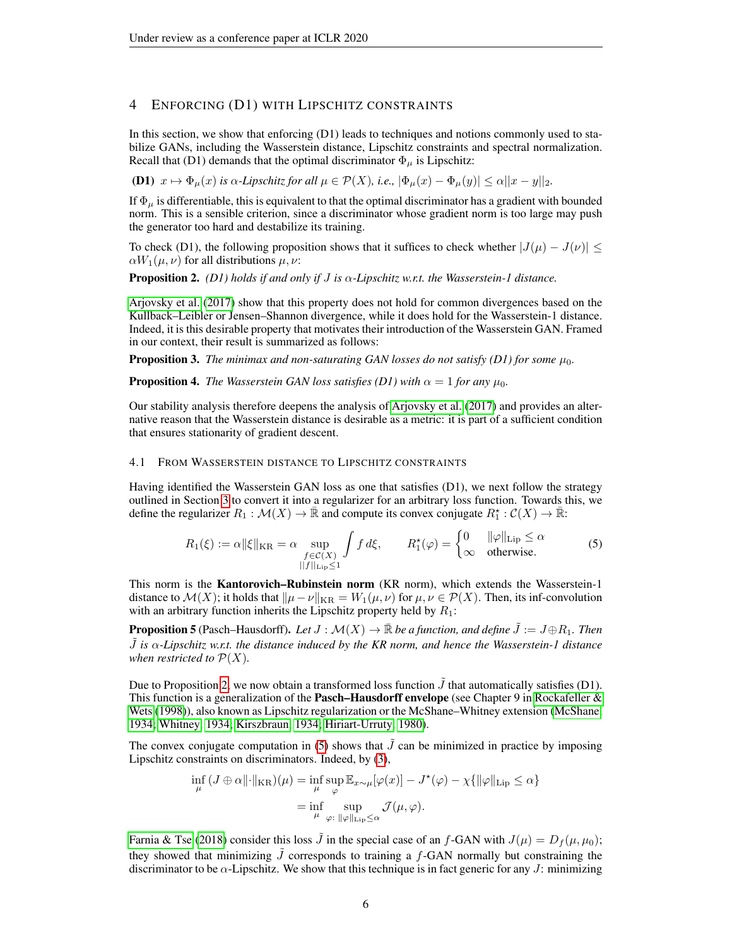## <span id="page-5-0"></span>4 ENFORCING (D1) WITH LIPSCHITZ CONSTRAINTS

In this section, we show that enforcing (D1) leads to techniques and notions commonly used to stabilize GANs, including the Wasserstein distance, Lipschitz constraints and spectral normalization. Recall that (D1) demands that the optimal discriminator  $\Phi_{\mu}$  is Lipschitz:

(D1)  $x \mapsto \Phi_{\mu}(x)$  *is*  $\alpha$ -Lipschitz for all  $\mu \in \mathcal{P}(X)$ , i.e.,  $|\Phi_{\mu}(x) - \Phi_{\mu}(y)| \leq \alpha ||x - y||_2$ .

If  $\Phi_{\mu}$  is differentiable, this is equivalent to that the optimal discriminator has a gradient with bounded norm. This is a sensible criterion, since a discriminator whose gradient norm is too large may push the generator too hard and destabilize its training.

To check (D1), the following proposition shows that it suffices to check whether  $|J(\mu) - J(\nu)| \le$  $\alpha W_1(\mu, \nu)$  for all distributions  $\mu, \nu$ :

<span id="page-5-1"></span>Proposition 2. *(D1) holds if and only if* J *is* α*-Lipschitz w.r.t. the Wasserstein-1 distance.*

[Arjovsky et al.](#page-10-1) [\(2017\)](#page-10-1) show that this property does not hold for common divergences based on the Kullback–Leibler or Jensen–Shannon divergence, while it does hold for the Wasserstein-1 distance. Indeed, it is this desirable property that motivates their introduction of the Wasserstein GAN. Framed in our context, their result is summarized as follows:

<span id="page-5-3"></span>**Proposition 3.** The minimax and non-saturating GAN losses do not satisfy (D1) for some  $\mu_0$ .

<span id="page-5-4"></span>**Proposition 4.** *The Wasserstein GAN loss satisfies (D1) with*  $\alpha = 1$  *for any*  $\mu_0$ *.* 

Our stability analysis therefore deepens the analysis of [Arjovsky et al.](#page-10-1) [\(2017\)](#page-10-1) and provides an alternative reason that the Wasserstein distance is desirable as a metric: it is part of a sufficient condition that ensures stationarity of gradient descent.

#### 4.1 FROM WASSERSTEIN DISTANCE TO LIPSCHITZ CONSTRAINTS

Having identified the Wasserstein GAN loss as one that satisfies (D1), we next follow the strategy outlined in Section [3](#page-4-1) to convert it into a regularizer for an arbitrary loss function. Towards this, we define the regularizer  $R_1 : \mathcal{M}(X) \to \bar{\mathbb{R}}$  and compute its convex conjugate  $R_1^* : \mathcal{C}(X) \to \bar{\mathbb{R}}$ :

<span id="page-5-2"></span>
$$
R_1(\xi) := \alpha \|\xi\|_{\text{KR}} = \alpha \sup_{\substack{f \in \mathcal{C}(X) \\ ||f||_{\text{Lip}} \le 1}} \int f \, d\xi, \qquad R_1^{\star}(\varphi) = \begin{cases} 0 & \|\varphi\|_{\text{Lip}} \le \alpha \\ \infty & \text{otherwise.} \end{cases} \tag{5}
$$

This norm is the Kantorovich–Rubinstein norm (KR norm), which extends the Wasserstein-1 distance to  $\mathcal{M}(X)$ ; it holds that  $\|\mu - \nu\|_{KR} = W_1(\mu, \nu)$  for  $\mu, \nu \in \mathcal{P}(X)$ . Then, its inf-convolution with an arbitrary function inherits the Lipschitz property held by  $R_1$ :

**Proposition 5** (Pasch–Hausdorff). Let  $J : \mathcal{M}(X) \to \mathbb{R}$  *be a function, and define*  $\tilde{J} := J \oplus R_1$ . Then J˜ *is* α*-Lipschitz w.r.t. the distance induced by the KR norm, and hence the Wasserstein-1 distance when restricted to*  $\mathcal{P}(X)$ *.* 

Due to Proposition [2,](#page-5-1) we now obtain a transformed loss function  $J$  that automatically satisfies (D1). This function is a generalization of the **Pasch–Hausdorff envelope** (see Chapter 9 in Rockafeller  $\&$ [Wets](#page-12-3) [\(1998\)](#page-12-3)), also known as Lipschitz regularization or the McShane–Whitney extension [\(McShane,](#page-11-11) [1934;](#page-11-11) [Whitney, 1934;](#page-12-4) [Kirszbraun, 1934;](#page-11-12) [Hiriart-Urruty, 1980\)](#page-11-13).

The convex conjugate computation in [\(5\)](#page-5-2) shows that  $\hat{J}$  can be minimized in practice by imposing Lipschitz constraints on discriminators. Indeed, by [\(3\)](#page-2-3),

$$
\inf_{\mu} (J \oplus \alpha ||\cdot||_{\text{KR}})(\mu) = \inf_{\mu} \sup_{\varphi} \mathbb{E}_{x \sim \mu} [\varphi(x)] - J^{\star}(\varphi) - \chi \{ ||\varphi||_{\text{Lip}} \le \alpha \}
$$

$$
= \inf_{\mu} \sup_{\varphi: ||\varphi||_{\text{Lip}} \le \alpha} \mathcal{J}(\mu, \varphi).
$$

[Farnia & Tse](#page-10-8) [\(2018\)](#page-10-8) consider this loss  $\tilde{J}$  in the special case of an f-GAN with  $J(\mu) = D_f(\mu, \mu_0);$ they showed that minimizing  $\tilde{J}$  corresponds to training a f-GAN normally but constraining the discriminator to be  $\alpha$ -Lipschitz. We show that this technique is in fact generic for any J: minimizing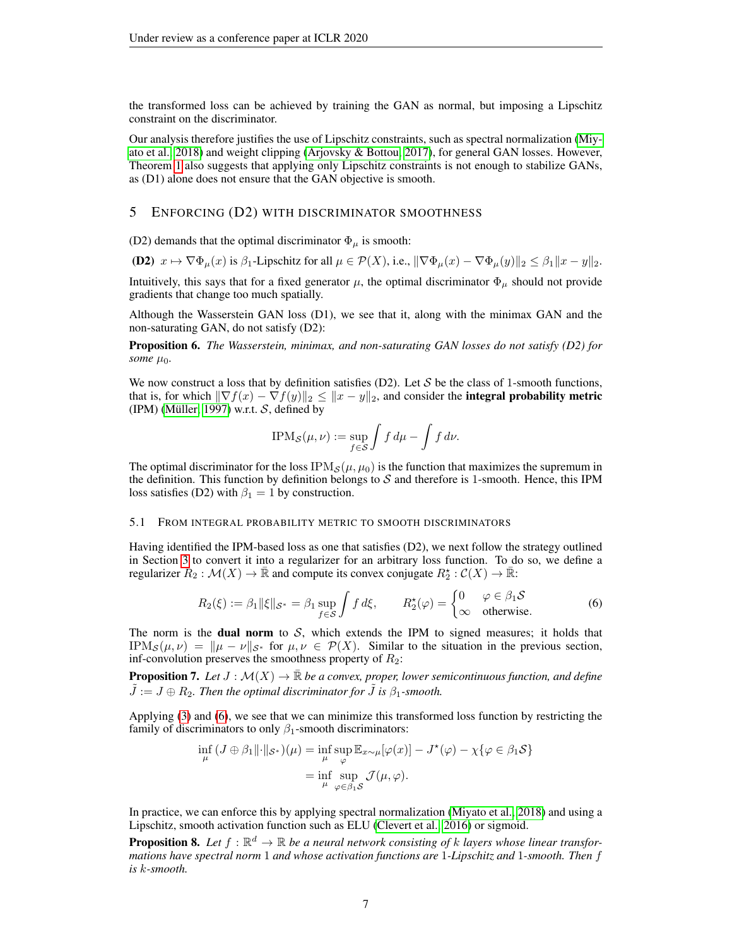the transformed loss can be achieved by training the GAN as normal, but imposing a Lipschitz constraint on the discriminator.

Our analysis therefore justifies the use of Lipschitz constraints, such as spectral normalization [\(Miy](#page-11-0)[ato et al., 2018\)](#page-11-0) and weight clipping [\(Arjovsky & Bottou, 2017\)](#page-10-6), for general GAN losses. However, Theorem [1](#page-3-0) also suggests that applying only Lipschitz constraints is not enough to stabilize GANs, as (D1) alone does not ensure that the GAN objective is smooth.

#### <span id="page-6-2"></span>5 ENFORCING (D2) WITH DISCRIMINATOR SMOOTHNESS

(D2) demands that the optimal discriminator  $\Phi_{\mu}$  is smooth:

(D2)  $x \mapsto \nabla \Phi_{\mu}(x)$  is  $\beta_1$ -Lipschitz for all  $\mu \in \mathcal{P}(X)$ , i.e.,  $\|\nabla \Phi_{\mu}(x) - \nabla \Phi_{\mu}(y)\|_2 \leq \beta_1 \|x - y\|_2$ .

Intuitively, this says that for a fixed generator  $\mu$ , the optimal discriminator  $\Phi_{\mu}$  should not provide gradients that change too much spatially.

Although the Wasserstein GAN loss (D1), we see that it, along with the minimax GAN and the non-saturating GAN, do not satisfy (D2):

Proposition 6. *The Wasserstein, minimax, and non-saturating GAN losses do not satisfy (D2) for some*  $\mu_0$ *.* 

We now construct a loss that by definition satisfies (D2). Let  $S$  be the class of 1-smooth functions, that is, for which  $\|\nabla f(x) - \nabla f(y)\|_2 \leq \|x - y\|_2$ , and consider the integral probability metric (IPM) (Müller, 1997) w.r.t.  $S$ , defined by

<span id="page-6-0"></span>
$$
\text{IPM}_{\mathcal{S}}(\mu, \nu) := \sup_{f \in \mathcal{S}} \int f \, d\mu - \int f \, d\nu.
$$

The optimal discriminator for the loss  $IPM<sub>S</sub>(\mu, \mu_0)$  is the function that maximizes the supremum in the definition. This function by definition belongs to  $S$  and therefore is 1-smooth. Hence, this IPM loss satisfies (D2) with  $\beta_1 = 1$  by construction.

#### 5.1 FROM INTEGRAL PROBABILITY METRIC TO SMOOTH DISCRIMINATORS

Having identified the IPM-based loss as one that satisfies (D2), we next follow the strategy outlined in Section [3](#page-4-1) to convert it into a regularizer for an arbitrary loss function. To do so, we define a regularizer  $R_2 : \mathcal{M}(X) \to \overline{\mathbb{R}}$  and compute its convex conjugate  $R_2^* : \mathcal{C}(X) \to \overline{\mathbb{R}}$ :

$$
R_2(\xi) := \beta_1 \|\xi\|_{\mathcal{S}^*} = \beta_1 \sup_{f \in \mathcal{S}} \int f d\xi, \qquad R_2^{\star}(\varphi) = \begin{cases} 0 & \varphi \in \beta_1 \mathcal{S} \\ \infty & \text{otherwise.} \end{cases}
$$
 (6)

The norm is the **dual norm** to  $S$ , which extends the IPM to signed measures; it holds that IPM<sub>S</sub> $(\mu, \nu) = ||\mu - \nu||_{\mathcal{S}^*}$  for  $\mu, \nu \in \mathcal{P}(X)$ . Similar to the situation in the previous section, inf-convolution preserves the smoothness property of  $R_2$ :

**Proposition 7.** Let  $J : \mathcal{M}(X) \to \mathbb{R}$  be a convex, proper, lower semicontinuous function, and define  $\ddot{J} := J \oplus R_2$ . Then the optimal discriminator for  $\ddot{J}$  is  $\beta_1$ -smooth.

Applying [\(3\)](#page-2-3) and [\(6\)](#page-6-0), we see that we can minimize this transformed loss function by restricting the family of discriminators to only  $\beta_1$ -smooth discriminators:

$$
\inf_{\mu} (J \oplus \beta_1 \| \cdot \|_{\mathcal{S}^*})(\mu) = \inf_{\mu} \sup_{\varphi} \mathbb{E}_{x \sim \mu} [\varphi(x)] - J^*(\varphi) - \chi \{ \varphi \in \beta_1 \mathcal{S} \}
$$

$$
= \inf_{\mu} \sup_{\varphi \in \beta_1 \mathcal{S}} \mathcal{J}(\mu, \varphi).
$$

In practice, we can enforce this by applying spectral normalization [\(Miyato et al., 2018\)](#page-11-0) and using a Lipschitz, smooth activation function such as ELU [\(Clevert et al., 2016\)](#page-10-11) or sigmoid.

<span id="page-6-1"></span>**Proposition 8.** Let  $f : \mathbb{R}^d \to \mathbb{R}$  be a neural network consisting of k layers whose linear transfor*mations have spectral norm* 1 *and whose activation functions are* 1*-Lipschitz and* 1*-smooth. Then* f *is* k*-smooth.*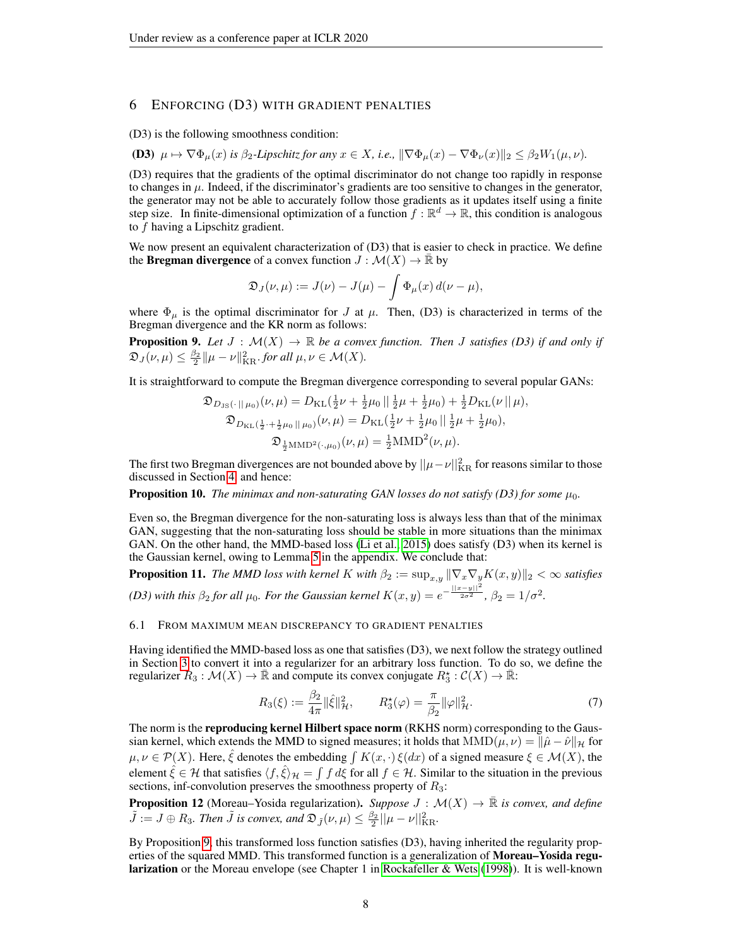## <span id="page-7-0"></span>6 ENFORCING (D3) WITH GRADIENT PENALTIES

(D3) is the following smoothness condition:

(D3)  $\mu \mapsto \nabla \Phi_u(x)$  *is*  $\beta_2$ -Lipschitz for any  $x \in X$ , i.e.,  $\|\nabla \Phi_u(x) - \nabla \Phi_v(x)\|_2 \leq \beta_2 W_1(\mu, \nu)$ .

(D3) requires that the gradients of the optimal discriminator do not change too rapidly in response to changes in  $\mu$ . Indeed, if the discriminator's gradients are too sensitive to changes in the generator, the generator may not be able to accurately follow those gradients as it updates itself using a finite step size. In finite-dimensional optimization of a function  $f : \mathbb{R}^d \to \mathbb{R}$ , this condition is analogous to f having a Lipschitz gradient.

We now present an equivalent characterization of  $(D3)$  that is easier to check in practice. We define the **Bregman divergence** of a convex function  $J : \mathcal{M}(X) \to \mathbb{R}$  by

$$
\mathfrak{D}_J(\nu,\mu) := J(\nu) - J(\mu) - \int \Phi_\mu(x) d(\nu - \mu),
$$

where  $\Phi_{\mu}$  is the optimal discriminator for J at  $\mu$ . Then, (D3) is characterized in terms of the Bregman divergence and the KR norm as follows:

<span id="page-7-1"></span>**Proposition 9.** Let  $J : \mathcal{M}(X) \to \mathbb{R}$  be a convex function. Then J satisfies (D3) if and only if  $\mathfrak{D}_J(\nu,\mu) \leq \frac{\beta_2}{2} ||\mu - \nu||_{\text{KR}}^2$  *for all*  $\mu,\nu \in \mathcal{M}(X)$ *.* 

It is straightforward to compute the Bregman divergence corresponding to several popular GANs:

$$
\mathfrak{D}_{D_{\text{JS}}(\cdot || \mu_0)}(\nu, \mu) = D_{\text{KL}}(\frac{1}{2}\nu + \frac{1}{2}\mu_0 || \frac{1}{2}\mu + \frac{1}{2}\mu_0) + \frac{1}{2}D_{\text{KL}}(\nu || \mu),
$$
  

$$
\mathfrak{D}_{D_{\text{KL}}(\frac{1}{2} + \frac{1}{2}\mu_0 || \mu_0)}(\nu, \mu) = D_{\text{KL}}(\frac{1}{2}\nu + \frac{1}{2}\mu_0 || \frac{1}{2}\mu + \frac{1}{2}\mu_0),
$$
  

$$
\mathfrak{D}_{\frac{1}{2}\text{MMD}^2(\cdot, \mu_0)}(\nu, \mu) = \frac{1}{2}\text{MMD}^2(\nu, \mu).
$$

The first two Bregman divergences are not bounded above by  $||\mu - \nu||_{\text{KR}}^2$  for reasons similar to those discussed in Section [4,](#page-5-0) and hence:

**Proposition 10.** *The minimax and non-saturating GAN losses do not satisfy (D3) for some*  $\mu_0$ *.* 

Even so, the Bregman divergence for the non-saturating loss is always less than that of the minimax GAN, suggesting that the non-saturating loss should be stable in more situations than the minimax GAN. On the other hand, the MMD-based loss [\(Li et al., 2015\)](#page-11-4) does satisfy (D3) when its kernel is the Gaussian kernel, owing to Lemma [5](#page-23-0) in the appendix. We conclude that:

**Proposition 11.** *The MMD loss with kernel* K *with*  $\beta_2 := \sup_{x,y} ||\nabla_x \nabla_y K(x,y)||_2 < \infty$  *satisfies (D3) with this*  $\beta_2$  *for all*  $\mu_0$ *. For the Gaussian kernel*  $K(x, y) = e^{-\frac{||x-y||^2}{2\sigma^2}}$ ,  $\beta_2 = 1/\sigma^2$ *.* 

#### 6.1 FROM MAXIMUM MEAN DISCREPANCY TO GRADIENT PENALTIES

Having identified the MMD-based loss as one that satisfies (D3), we next follow the strategy outlined in Section [3](#page-4-1) to convert it into a regularizer for an arbitrary loss function. To do so, we define the regularizer  $R_3: \mathcal{M}(X) \to \bar{\mathbb{R}}$  and compute its convex conjugate  $R_3^* : \mathcal{C}(X) \to \bar{\mathbb{R}}$ :

<span id="page-7-2"></span>
$$
R_3(\xi) := \frac{\beta_2}{4\pi} \|\hat{\xi}\|_{\mathcal{H}}^2, \qquad R_3^{\star}(\varphi) = \frac{\pi}{\beta_2} \|\varphi\|_{\mathcal{H}}^2.
$$
 (7)

The norm is the **reproducing kernel Hilbert space norm** (RKHS norm) corresponding to the Gaussian kernel, which extends the MMD to signed measures; it holds that  $MMD(\mu, \nu) = ||\hat{\mu} - \hat{\nu}||_{\mathcal{H}}$  for  $\mu, \nu \in \mathcal{P}(X)$ . Here,  $\hat{\xi}$  denotes the embedding  $\int K(x, \cdot) \xi(dx)$  of a signed measure  $\xi \in \mathcal{M}(X)$ , the element  $\hat{\xi} \in \mathcal{H}$  that satisfies  $\langle f, \hat{\xi} \rangle_{\mathcal{H}} = \int f d\xi$  for all  $f \in \mathcal{H}$ . Similar to the situation in the previous sections, inf-convolution preserves the smoothness property of  $R_3$ :

**Proposition 12** (Moreau–Yosida regularization). Suppose  $J : \mathcal{M}(X) \to \overline{\mathbb{R}}$  *is convex, and define*  $\tilde{J} := J \oplus R_3$ . Then  $\tilde{J}$  is convex, and  $\mathfrak{D}_{\tilde{J}}(\nu,\mu) \leq \frac{\beta_2}{2} ||\mu - \nu||^2_{\mathrm{KR}}$ .

By Proposition [9,](#page-7-1) this transformed loss function satisfies (D3), having inherited the regularity properties of the squared MMD. This transformed function is a generalization of **Moreau–Yosida regu**larization or the Moreau envelope (see Chapter 1 in [Rockafeller & Wets](#page-12-3) [\(1998\)](#page-12-3)). It is well-known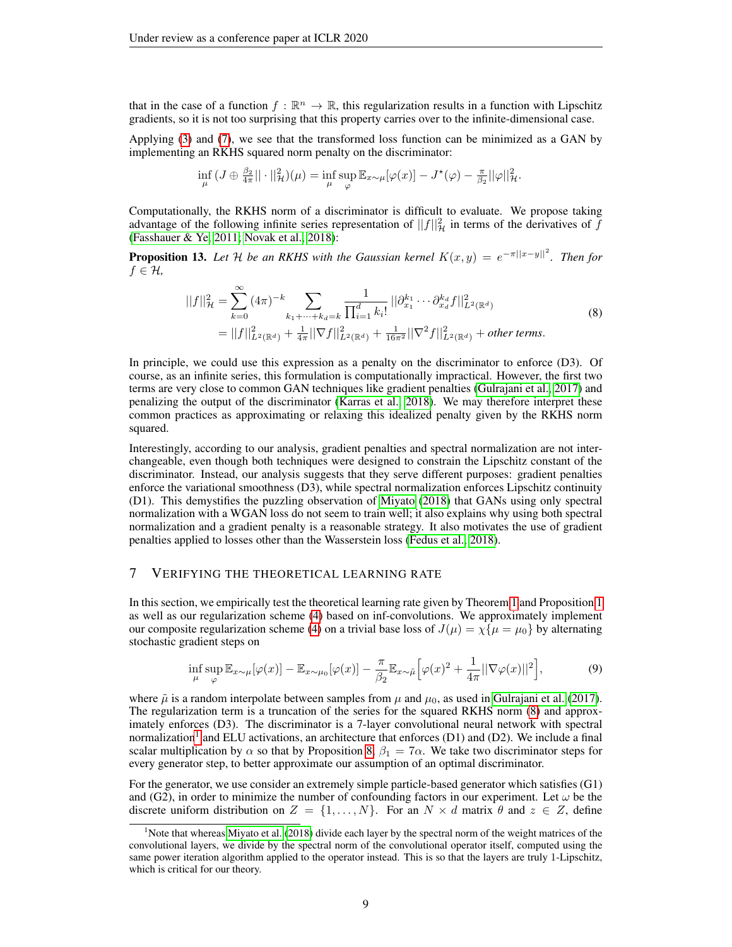that in the case of a function  $f : \mathbb{R}^n \to \mathbb{R}$ , this regularization results in a function with Lipschitz gradients, so it is not too surprising that this property carries over to the infinite-dimensional case.

Applying [\(3\)](#page-2-3) and [\(7\)](#page-7-2), we see that the transformed loss function can be minimized as a GAN by implementing an RKHS squared norm penalty on the discriminator:

$$
\inf_{\mu} (J \oplus \frac{\beta_2}{4\pi} ||\cdot||_{{\mathcal{H}}}^2)(\mu) = \inf_{\mu} \sup_{\varphi} \mathbb{E}_{x \sim \mu} [\varphi(x)] - J^*(\varphi) - \frac{\pi}{\beta_2} ||\varphi||_{{\mathcal{H}}}^2.
$$

Computationally, the RKHS norm of a discriminator is difficult to evaluate. We propose taking advantage of the following infinite series representation of  $||f||^2$  in terms of the derivatives of  $\tilde{f}$ [\(Fasshauer & Ye, 2011;](#page-10-12) [Novak et al., 2018\)](#page-11-15):

**Proposition 13.** Let H be an RKHS with the Gaussian kernel  $K(x,y) = e^{-\pi ||x-y||^2}$ . Then for  $f \in \mathcal{H}$ ,

<span id="page-8-1"></span>
$$
||f||_{\mathcal{H}}^{2} = \sum_{k=0}^{\infty} (4\pi)^{-k} \sum_{k_{1}+\cdots+k_{d}=k} \frac{1}{\prod_{i=1}^{d} k_{i}!} ||\partial_{x_{1}}^{k_{1}} \cdots \partial_{x_{d}}^{k_{d}} f||_{L^{2}(\mathbb{R}^{d})}^{2}
$$
  
=  $||f||_{L^{2}(\mathbb{R}^{d})}^{2} + \frac{1}{4\pi} ||\nabla f||_{L^{2}(\mathbb{R}^{d})}^{2} + \frac{1}{16\pi^{2}} ||\nabla^{2} f||_{L^{2}(\mathbb{R}^{d})}^{2} + other terms.$  (8)

In principle, we could use this expression as a penalty on the discriminator to enforce (D3). Of course, as an infinite series, this formulation is computationally impractical. However, the first two terms are very close to common GAN techniques like gradient penalties [\(Gulrajani et al., 2017\)](#page-10-2) and penalizing the output of the discriminator [\(Karras et al., 2018\)](#page-11-1). We may therefore interpret these common practices as approximating or relaxing this idealized penalty given by the RKHS norm squared.

Interestingly, according to our analysis, gradient penalties and spectral normalization are not interchangeable, even though both techniques were designed to constrain the Lipschitz constant of the discriminator. Instead, our analysis suggests that they serve different purposes: gradient penalties enforce the variational smoothness (D3), while spectral normalization enforces Lipschitz continuity (D1). This demystifies the puzzling observation of [Miyato](#page-11-2) [\(2018\)](#page-11-2) that GANs using only spectral normalization with a WGAN loss do not seem to train well; it also explains why using both spectral normalization and a gradient penalty is a reasonable strategy. It also motivates the use of gradient penalties applied to losses other than the Wasserstein loss [\(Fedus et al., 2018\)](#page-10-4).

## <span id="page-8-0"></span>7 VERIFYING THE THEORETICAL LEARNING RATE

In this section, we empirically test the theoretical learning rate given by Theorem [1](#page-3-0) and Proposition [1](#page-0-0) as well as our regularization scheme [\(4\)](#page-4-2) based on inf-convolutions. We approximately implement our composite regularization scheme [\(4\)](#page-4-2) on a trivial base loss of  $J(\mu) = \chi \{\mu = \mu_0\}$  by alternating stochastic gradient steps on

<span id="page-8-3"></span>
$$
\inf_{\mu} \sup_{\varphi} \mathbb{E}_{x \sim \mu}[\varphi(x)] - \mathbb{E}_{x \sim \mu_0}[\varphi(x)] - \frac{\pi}{\beta_2} \mathbb{E}_{x \sim \tilde{\mu}}\Big[\varphi(x)^2 + \frac{1}{4\pi} ||\nabla \varphi(x)||^2\Big],\tag{9}
$$

where  $\tilde{\mu}$  is a random interpolate between samples from  $\mu$  and  $\mu_0$ , as used in [Gulrajani et al.](#page-10-2) [\(2017\)](#page-10-2). The regularization term is a truncation of the series for the squared RKHS norm [\(8\)](#page-8-1) and approximately enforces (D3). The discriminator is a 7-layer convolutional neural network with spectral normalization<sup>[1](#page-8-2)</sup> and ELU activations, an architecture that enforces (D1) and (D2). We include a final scalar multiplication by  $\alpha$  so that by Proposition [8,](#page-6-1)  $\beta_1 = 7\alpha$ . We take two discriminator steps for every generator step, to better approximate our assumption of an optimal discriminator.

For the generator, we use consider an extremely simple particle-based generator which satisfies (G1) and (G2), in order to minimize the number of confounding factors in our experiment. Let  $\omega$  be the discrete uniform distribution on  $Z = \{1, \ldots, N\}$ . For an  $N \times d$  matrix  $\theta$  and  $z \in Z$ , define

<span id="page-8-2"></span><sup>&</sup>lt;sup>1</sup>Note that whereas [Miyato et al.](#page-11-0) [\(2018\)](#page-11-0) divide each layer by the spectral norm of the weight matrices of the convolutional layers, we divide by the spectral norm of the convolutional operator itself, computed using the same power iteration algorithm applied to the operator instead. This is so that the layers are truly 1-Lipschitz, which is critical for our theory.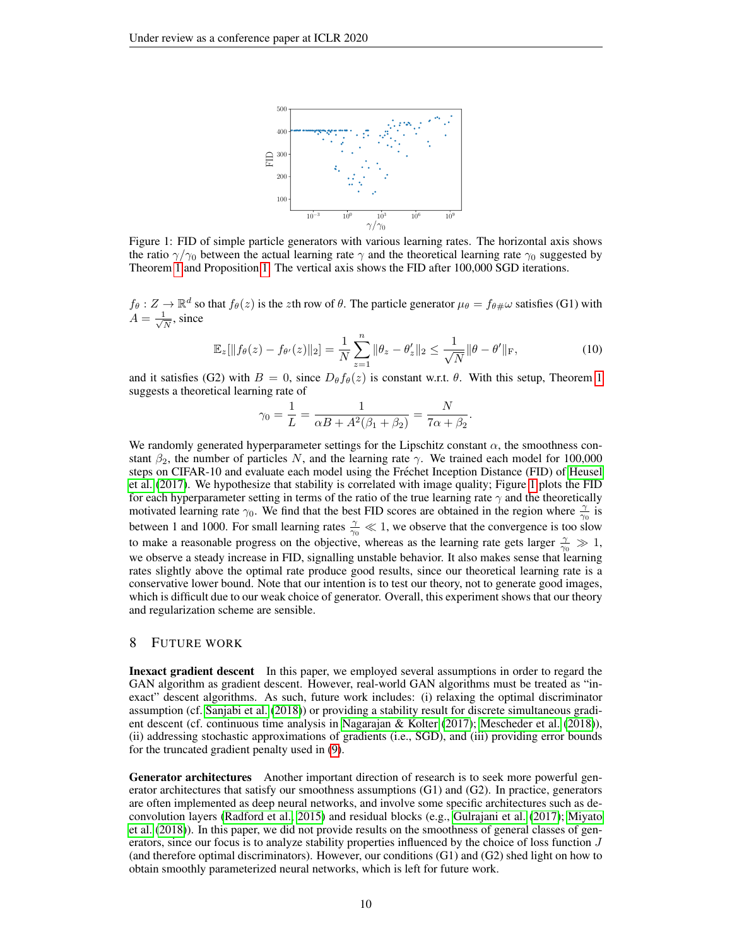<span id="page-9-0"></span>

Figure 1: FID of simple particle generators with various learning rates. The horizontal axis shows the ratio  $\gamma/\gamma_0$  between the actual learning rate  $\gamma$  and the theoretical learning rate  $\gamma_0$  suggested by Theorem [1](#page-3-0) and Proposition [1.](#page-0-0) The vertical axis shows the FID after 100,000 SGD iterations.

 $f_{\theta}: Z \to \mathbb{R}^d$  so that  $f_{\theta}(z)$  is the zth row of  $\theta$ . The particle generator  $\mu_{\theta} = f_{\theta \#} \omega$  satisfies (G1) with  $A=\frac{1}{\sqrt{2}}$  $\frac{1}{N}$ , since

$$
\mathbb{E}_{z}[\|f_{\theta}(z) - f_{\theta}(z)\|_{2}] = \frac{1}{N} \sum_{z=1}^{n} \|\theta_{z} - \theta_{z}'\|_{2} \le \frac{1}{\sqrt{N}} \|\theta - \theta'\|_{F},
$$
\n(10)

and it satisfies (G2) with  $B = 0$ , since  $D_{\theta} f_{\theta}(z)$  is constant w.r.t.  $\theta$ . With this setup, Theorem [1](#page-3-0) suggests a theoretical learning rate of

$$
\gamma_0 = \frac{1}{L} = \frac{1}{\alpha B + A^2(\beta_1 + \beta_2)} = \frac{N}{7\alpha + \beta_2}.
$$

We randomly generated hyperparameter settings for the Lipschitz constant  $\alpha$ , the smoothness constant  $\beta_2$ , the number of particles N, and the learning rate  $\gamma$ . We trained each model for 100,000 steps on CIFAR-10 and evaluate each model using the Frechet Inception Distance (FID) of [Heusel](#page-11-16) ´ [et al.](#page-11-16) [\(2017\)](#page-11-16). We hypothesize that stability is correlated with image quality; Figure [1](#page-9-0) plots the FID for each hyperparameter setting in terms of the ratio of the true learning rate  $\gamma$  and the theoretically motivated learning rate  $\gamma_0$ . We find that the best FID scores are obtained in the region where  $\frac{\gamma}{\gamma_0}$  is between 1 and 1000. For small learning rates  $\frac{\gamma}{\gamma_0} \ll 1$ , we observe that the convergence is too slow to make a reasonable progress on the objective, whereas as the learning rate gets larger  $\frac{\gamma}{\gamma_0} \gg 1$ , we observe a steady increase in FID, signalling unstable behavior. It also makes sense that learning rates slightly above the optimal rate produce good results, since our theoretical learning rate is a conservative lower bound. Note that our intention is to test our theory, not to generate good images, which is difficult due to our weak choice of generator. Overall, this experiment shows that our theory and regularization scheme are sensible.

### 8 FUTURE WORK

Inexact gradient descent In this paper, we employed several assumptions in order to regard the GAN algorithm as gradient descent. However, real-world GAN algorithms must be treated as "inexact" descent algorithms. As such, future work includes: (i) relaxing the optimal discriminator assumption (cf. [Sanjabi et al.](#page-12-1) [\(2018\)](#page-12-1)) or providing a stability result for discrete simultaneous gradient descent (cf. continuous time analysis in [Nagarajan & Kolter](#page-11-9) [\(2017\)](#page-11-9); [Mescheder et al.](#page-11-10) [\(2018\)](#page-11-10)), (ii) addressing stochastic approximations of gradients (i.e., SGD), and (iii) providing error bounds for the truncated gradient penalty used in [\(9\)](#page-8-3).

Generator architectures Another important direction of research is to seek more powerful generator architectures that satisfy our smoothness assumptions (G1) and (G2). In practice, generators are often implemented as deep neural networks, and involve some specific architectures such as deconvolution layers [\(Radford et al., 2015\)](#page-12-5) and residual blocks (e.g., [Gulrajani et al.](#page-10-2) [\(2017\)](#page-10-2); [Miyato](#page-11-0) [et al.](#page-11-0) [\(2018\)](#page-11-0)). In this paper, we did not provide results on the smoothness of general classes of generators, since our focus is to analyze stability properties influenced by the choice of loss function J (and therefore optimal discriminators). However, our conditions (G1) and (G2) shed light on how to obtain smoothly parameterized neural networks, which is left for future work.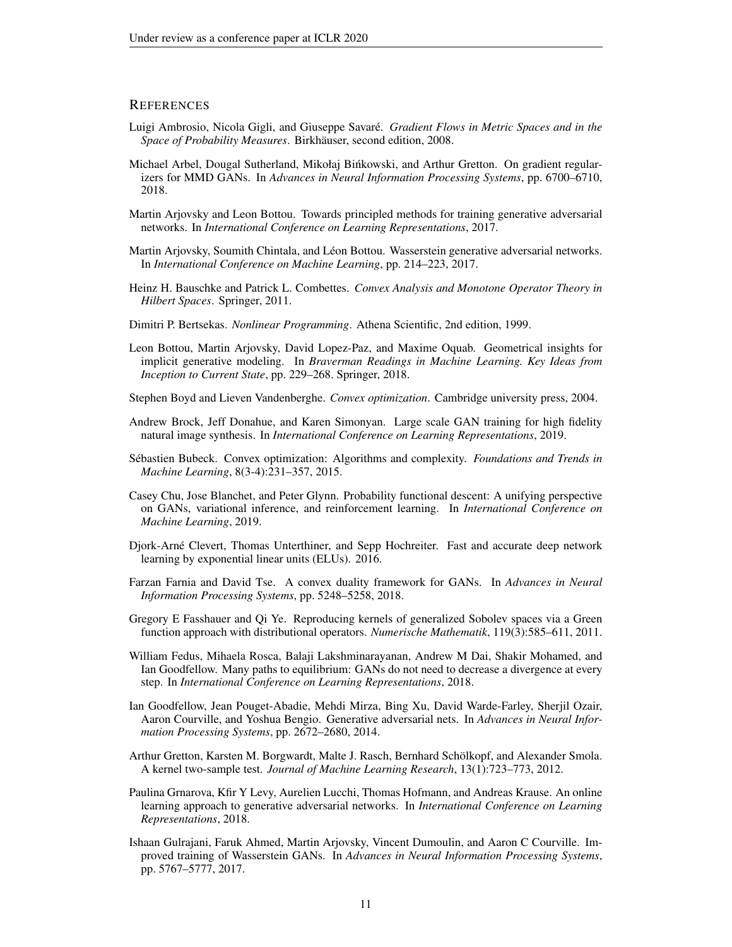## **REFERENCES**

- <span id="page-10-17"></span>Luigi Ambrosio, Nicola Gigli, and Giuseppe Savare.´ *Gradient Flows in Metric Spaces and in the Space of Probability Measures. Birkhäuser, second edition, 2008.*
- <span id="page-10-15"></span>Michael Arbel, Dougal Sutherland, Mikołaj Binkowski, and Arthur Gretton. On gradient regular- ´ izers for MMD GANs. In *Advances in Neural Information Processing Systems*, pp. 6700–6710, 2018.
- <span id="page-10-6"></span>Martin Arjovsky and Leon Bottou. Towards principled methods for training generative adversarial networks. In *International Conference on Learning Representations*, 2017.
- <span id="page-10-1"></span>Martin Arjovsky, Soumith Chintala, and Léon Bottou. Wasserstein generative adversarial networks. In *International Conference on Machine Learning*, pp. 214–223, 2017.
- <span id="page-10-13"></span>Heinz H. Bauschke and Patrick L. Combettes. *Convex Analysis and Monotone Operator Theory in Hilbert Spaces*. Springer, 2011.
- <span id="page-10-5"></span>Dimitri P. Bertsekas. *Nonlinear Programming*. Athena Scientific, 2nd edition, 1999.
- <span id="page-10-7"></span>Leon Bottou, Martin Arjovsky, David Lopez-Paz, and Maxime Oquab. Geometrical insights for implicit generative modeling. In *Braverman Readings in Machine Learning. Key Ideas from Inception to Current State*, pp. 229–268. Springer, 2018.
- <span id="page-10-18"></span>Stephen Boyd and Lieven Vandenberghe. *Convex optimization*. Cambridge university press, 2004.
- <span id="page-10-3"></span>Andrew Brock, Jeff Donahue, and Karen Simonyan. Large scale GAN training for high fidelity natural image synthesis. In *International Conference on Learning Representations*, 2019.
- <span id="page-10-16"></span>Sébastien Bubeck. Convex optimization: Algorithms and complexity. *Foundations and Trends in Machine Learning*, 8(3-4):231–357, 2015.
- <span id="page-10-9"></span>Casey Chu, Jose Blanchet, and Peter Glynn. Probability functional descent: A unifying perspective on GANs, variational inference, and reinforcement learning. In *International Conference on Machine Learning*, 2019.
- <span id="page-10-11"></span>Djork-Arne Clevert, Thomas Unterthiner, and Sepp Hochreiter. Fast and accurate deep network ´ learning by exponential linear units (ELUs). 2016.
- <span id="page-10-8"></span>Farzan Farnia and David Tse. A convex duality framework for GANs. In *Advances in Neural Information Processing Systems*, pp. 5248–5258, 2018.
- <span id="page-10-12"></span>Gregory E Fasshauer and Qi Ye. Reproducing kernels of generalized Sobolev spaces via a Green function approach with distributional operators. *Numerische Mathematik*, 119(3):585–611, 2011.
- <span id="page-10-4"></span>William Fedus, Mihaela Rosca, Balaji Lakshminarayanan, Andrew M Dai, Shakir Mohamed, and Ian Goodfellow. Many paths to equilibrium: GANs do not need to decrease a divergence at every step. In *International Conference on Learning Representations*, 2018.
- <span id="page-10-0"></span>Ian Goodfellow, Jean Pouget-Abadie, Mehdi Mirza, Bing Xu, David Warde-Farley, Sherjil Ozair, Aaron Courville, and Yoshua Bengio. Generative adversarial nets. In *Advances in Neural Information Processing Systems*, pp. 2672–2680, 2014.
- <span id="page-10-14"></span>Arthur Gretton, Karsten M. Borgwardt, Malte J. Rasch, Bernhard Scholkopf, and Alexander Smola. ¨ A kernel two-sample test. *Journal of Machine Learning Research*, 13(1):723–773, 2012.
- <span id="page-10-10"></span>Paulina Grnarova, Kfir Y Levy, Aurelien Lucchi, Thomas Hofmann, and Andreas Krause. An online learning approach to generative adversarial networks. In *International Conference on Learning Representations*, 2018.
- <span id="page-10-2"></span>Ishaan Gulrajani, Faruk Ahmed, Martin Arjovsky, Vincent Dumoulin, and Aaron C Courville. Improved training of Wasserstein GANs. In *Advances in Neural Information Processing Systems*, pp. 5767–5777, 2017.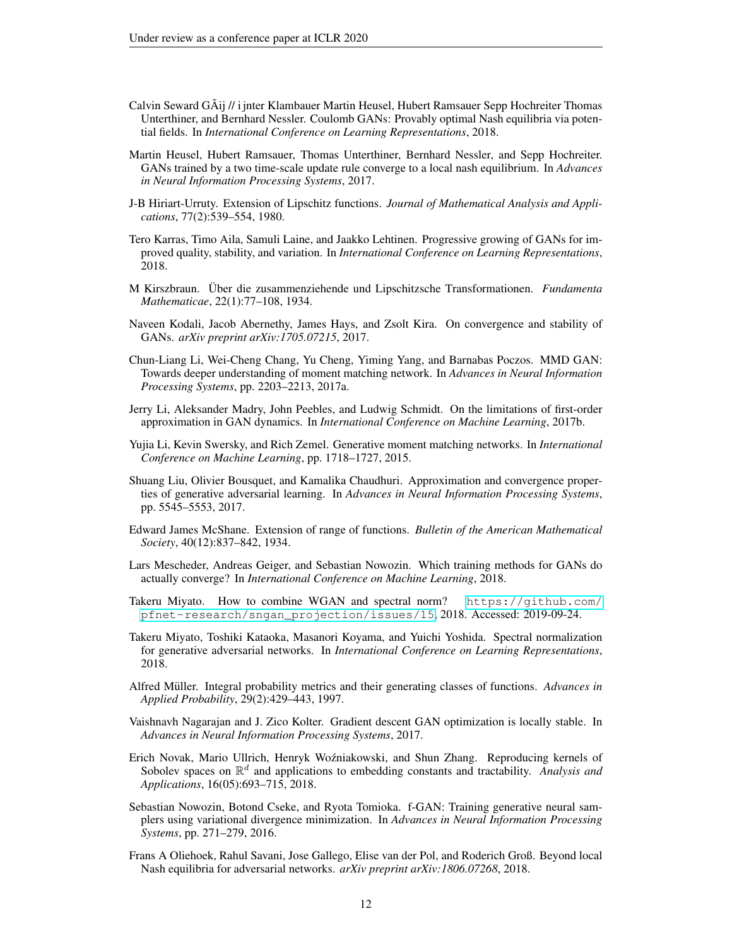- <span id="page-11-17"></span>Calvin Seward GAij // i jnter Klambauer Martin Heusel, Hubert Ramsauer Sepp Hochreiter Thomas ˜ Unterthiner, and Bernhard Nessler. Coulomb GANs: Provably optimal Nash equilibria via potential fields. In *International Conference on Learning Representations*, 2018.
- <span id="page-11-16"></span>Martin Heusel, Hubert Ramsauer, Thomas Unterthiner, Bernhard Nessler, and Sepp Hochreiter. GANs trained by a two time-scale update rule converge to a local nash equilibrium. In *Advances in Neural Information Processing Systems*, 2017.
- <span id="page-11-13"></span>J-B Hiriart-Urruty. Extension of Lipschitz functions. *Journal of Mathematical Analysis and Applications*, 77(2):539–554, 1980.
- <span id="page-11-1"></span>Tero Karras, Timo Aila, Samuli Laine, and Jaakko Lehtinen. Progressive growing of GANs for improved quality, stability, and variation. In *International Conference on Learning Representations*, 2018.
- <span id="page-11-12"></span>M Kirszbraun. Uber die zusammenziehende und Lipschitzsche Transformationen. ¨ *Fundamenta Mathematicae*, 22(1):77–108, 1934.
- <span id="page-11-7"></span>Naveen Kodali, Jacob Abernethy, James Hays, and Zsolt Kira. On convergence and stability of GANs. *arXiv preprint arXiv:1705.07215*, 2017.
- <span id="page-11-18"></span>Chun-Liang Li, Wei-Cheng Chang, Yu Cheng, Yiming Yang, and Barnabas Poczos. MMD GAN: Towards deeper understanding of moment matching network. In *Advances in Neural Information Processing Systems*, pp. 2203–2213, 2017a.
- <span id="page-11-6"></span>Jerry Li, Aleksander Madry, John Peebles, and Ludwig Schmidt. On the limitations of first-order approximation in GAN dynamics. In *International Conference on Machine Learning*, 2017b.
- <span id="page-11-4"></span>Yujia Li, Kevin Swersky, and Rich Zemel. Generative moment matching networks. In *International Conference on Machine Learning*, pp. 1718–1727, 2015.
- <span id="page-11-5"></span>Shuang Liu, Olivier Bousquet, and Kamalika Chaudhuri. Approximation and convergence properties of generative adversarial learning. In *Advances in Neural Information Processing Systems*, pp. 5545–5553, 2017.
- <span id="page-11-11"></span>Edward James McShane. Extension of range of functions. *Bulletin of the American Mathematical Society*, 40(12):837–842, 1934.
- <span id="page-11-10"></span>Lars Mescheder, Andreas Geiger, and Sebastian Nowozin. Which training methods for GANs do actually converge? In *International Conference on Machine Learning*, 2018.
- <span id="page-11-2"></span>Takeru Miyato. How to combine WGAN and spectral norm? [https://github.com/](https://github.com/pfnet-research/sngan_projection/issues/15) [pfnet-research/sngan\\_projection/issues/15](https://github.com/pfnet-research/sngan_projection/issues/15), 2018. Accessed: 2019-09-24.
- <span id="page-11-0"></span>Takeru Miyato, Toshiki Kataoka, Masanori Koyama, and Yuichi Yoshida. Spectral normalization for generative adversarial networks. In *International Conference on Learning Representations*, 2018.
- <span id="page-11-14"></span>Alfred Müller. Integral probability metrics and their generating classes of functions. *Advances in Applied Probability*, 29(2):429–443, 1997.
- <span id="page-11-9"></span>Vaishnavh Nagarajan and J. Zico Kolter. Gradient descent GAN optimization is locally stable. In *Advances in Neural Information Processing Systems*, 2017.
- <span id="page-11-15"></span>Erich Novak, Mario Ullrich, Henryk Woźniakowski, and Shun Zhang. Reproducing kernels of Sobolev spaces on  $\mathbb{R}^d$  and applications to embedding constants and tractability. *Analysis and Applications*, 16(05):693–715, 2018.
- <span id="page-11-3"></span>Sebastian Nowozin, Botond Cseke, and Ryota Tomioka. f-GAN: Training generative neural samplers using variational divergence minimization. In *Advances in Neural Information Processing Systems*, pp. 271–279, 2016.
- <span id="page-11-8"></span>Frans A Oliehoek, Rahul Savani, Jose Gallego, Elise van der Pol, and Roderich Groß. Beyond local Nash equilibria for adversarial networks. *arXiv preprint arXiv:1806.07268*, 2018.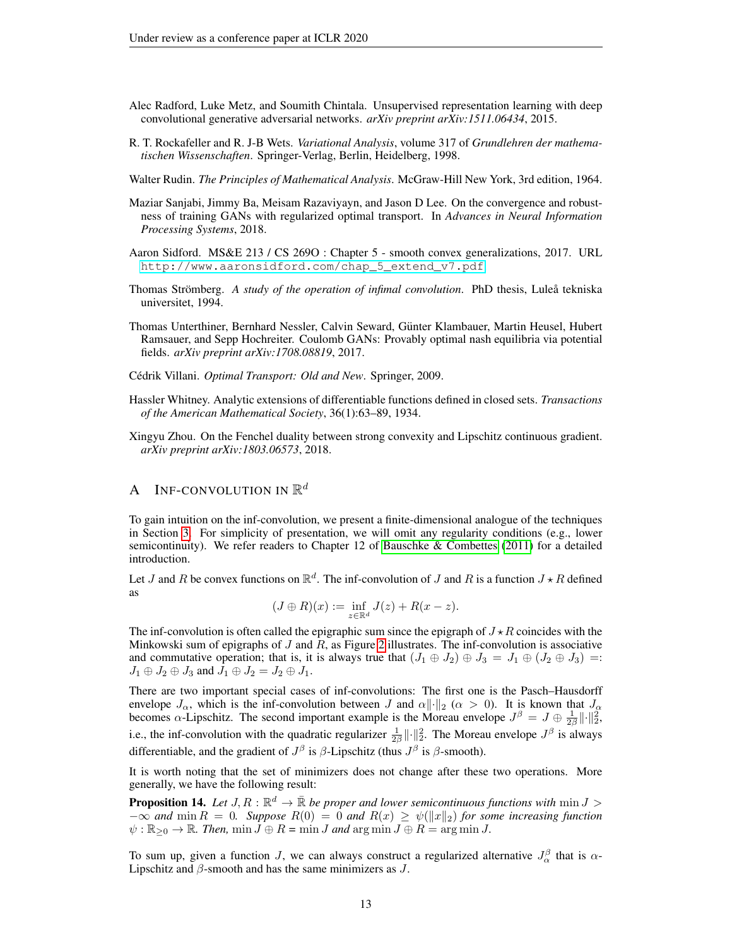- <span id="page-12-5"></span>Alec Radford, Luke Metz, and Soumith Chintala. Unsupervised representation learning with deep convolutional generative adversarial networks. *arXiv preprint arXiv:1511.06434*, 2015.
- <span id="page-12-3"></span>R. T. Rockafeller and R. J-B Wets. *Variational Analysis*, volume 317 of *Grundlehren der mathematischen Wissenschaften*. Springer-Verlag, Berlin, Heidelberg, 1998.
- <span id="page-12-9"></span>Walter Rudin. *The Principles of Mathematical Analysis*. McGraw-Hill New York, 3rd edition, 1964.
- <span id="page-12-1"></span>Maziar Sanjabi, Jimmy Ba, Meisam Razaviyayn, and Jason D Lee. On the convergence and robustness of training GANs with regularized optimal transport. In *Advances in Neural Information Processing Systems*, 2018.
- <span id="page-12-8"></span>Aaron Sidford. MS&E 213 / CS 269O : Chapter 5 - smooth convex generalizations, 2017. URL [http://www.aaronsidford.com/chap\\_5\\_extend\\_v7.pdf](http://www.aaronsidford.com/chap_5_extend_v7.pdf).
- <span id="page-12-2"></span>Thomas Strömberg. A *study of the operation of infimal convolution*. PhD thesis, Lulea<sup>®</sup> tekniska universitet, 1994.
- <span id="page-12-0"></span>Thomas Unterthiner, Bernhard Nessler, Calvin Seward, Günter Klambauer, Martin Heusel, Hubert Ramsauer, and Sepp Hochreiter. Coulomb GANs: Provably optimal nash equilibria via potential fields. *arXiv preprint arXiv:1708.08819*, 2017.
- <span id="page-12-6"></span>Cédrik Villani. Optimal Transport: Old and New. Springer, 2009.
- <span id="page-12-4"></span>Hassler Whitney. Analytic extensions of differentiable functions defined in closed sets. *Transactions of the American Mathematical Society*, 36(1):63–89, 1934.
- <span id="page-12-7"></span>Xingyu Zhou. On the Fenchel duality between strong convexity and Lipschitz continuous gradient. *arXiv preprint arXiv:1803.06573*, 2018.

## A – INF-CONVOLUTION IN  $\mathbb{R}^d$

To gain intuition on the inf-convolution, we present a finite-dimensional analogue of the techniques in Section [3.](#page-4-1) For simplicity of presentation, we will omit any regularity conditions (e.g., lower semicontinuity). We refer readers to Chapter 12 of [Bauschke & Combettes](#page-10-13) [\(2011\)](#page-10-13) for a detailed introduction.

Let J and R be convex functions on  $\mathbb{R}^d$ . The inf-convolution of J and R is a function  $J \star R$  defined as

$$
(J \oplus R)(x) := \inf_{z \in \mathbb{R}^d} J(z) + R(x - z).
$$

The inf-convolution is often called the epigraphic sum since the epigraph of  $J \star R$  coincides with the Minkowski sum of epigraphs of  $J$  and  $R$ , as Figure [2](#page-13-1) illustrates. The inf-convolution is associative and commutative operation; that is, it is always true that  $(J_1 \oplus J_2) \oplus J_3 = J_1 \oplus (J_2 \oplus J_3) =$  $J_1 \oplus J_2 \oplus J_3$  and  $J_1 \oplus J_2 = J_2 \oplus J_1$ .

There are two important special cases of inf-convolutions: The first one is the Pasch–Hausdorff envelope  $J_{\alpha}$ , which is the inf-convolution between  $J$  and  $\alpha ||\cdot||_2$  ( $\alpha > 0$ ). It is known that  $J_{\alpha}$  becomes  $\alpha$ -Lipschitz. The second important example is the Moreau envelope  $J^{\beta} = J \oplus \frac{1}{2\beta} ||\cdot||_2^2$ , i.e., the inf-convolution with the quadratic regularizer  $\frac{1}{2\beta} ||\cdot||_2^2$ . The Moreau envelope  $J^{\beta}$  is always differentiable, and the gradient of  $J^{\beta}$  is  $\beta$ -Lipschitz (thus  $J^{\beta}$  is  $\beta$ -smooth).

It is worth noting that the set of minimizers does not change after these two operations. More generally, we have the following result:

**Proposition 14.** Let  $J, R : \mathbb{R}^d \to \bar{\mathbb{R}}$  be proper and lower semicontinuous functions with  $\min J >$  $-\infty$  *and* min  $R = 0$ *. Suppose*  $R(0) = 0$  *and*  $R(x) \ge \psi(||x||_2)$  *for some increasing function*  $\psi : \mathbb{R}_{\geq 0} \to \mathbb{R}$ . Then,  $\min J \oplus R = \min J$  and  $\arg \min J \oplus R = \arg \min J$ .

To sum up, given a function J, we can always construct a regularized alternative  $J_{\alpha}^{\beta}$  that is  $\alpha$ -Lipschitz and  $\beta$ -smooth and has the same minimizers as  $J$ .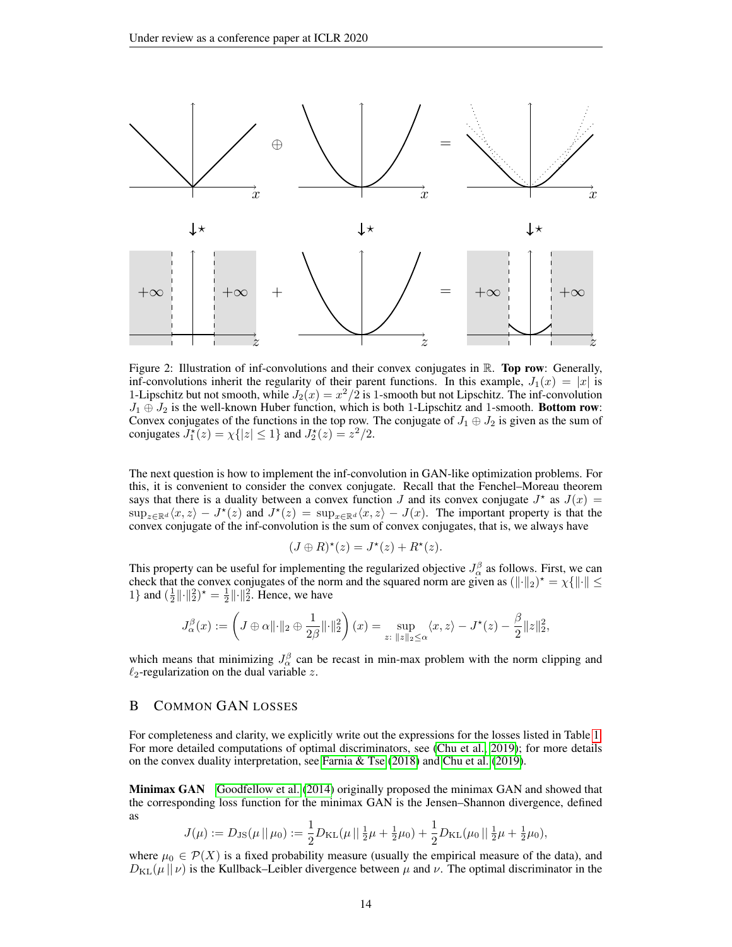<span id="page-13-1"></span>

Figure 2: Illustration of inf-convolutions and their convex conjugates in  $\mathbb{R}$ . **Top row**: Generally, inf-convolutions inherit the regularity of their parent functions. In this example,  $J_1(x) = |x|$  is 1-Lipschitz but not smooth, while  $J_2(x) = x^2/2$  is 1-smooth but not Lipschitz. The inf-convolution  $J_1 \oplus J_2$  is the well-known Huber function, which is both 1-Lipschitz and 1-smooth. Bottom row: Convex conjugates of the functions in the top row. The conjugate of  $J_1 \oplus J_2$  is given as the sum of conjugates  $J_1^*(z) = \chi\{|z| \le 1\}$  and  $J_2^*(z) = z^2/2$ .

The next question is how to implement the inf-convolution in GAN-like optimization problems. For this, it is convenient to consider the convex conjugate. Recall that the Fenchel–Moreau theorem says that there is a duality between a convex function J and its convex conjugate  $J^*$  as  $J(x)$  =  $\sup_{z\in\mathbb{R}^d} \langle x, z \rangle - J^*(z)$  and  $J^*(z) = \sup_{x\in\mathbb{R}^d} \langle x, z \rangle - J(x)$ . The important property is that the convex conjugate of the inf-convolution is the sum of convex conjugates, that is, we always have

$$
(J \oplus R)^{\star}(z) = J^{\star}(z) + R^{\star}(z).
$$

This property can be useful for implementing the regularized objective  $J_{\alpha}^{\beta}$  as follows. First, we can check that the convex conjugates of the norm and the squared norm are given as  $(\|\cdot\|_2)^* = \chi \{\|\cdot\| \leq$ 1} and  $(\frac{1}{2} \|\cdot\|_2^2)^* = \frac{1}{2} \|\cdot\|_2^2$ . Hence, we have

$$
J_{\alpha}^{\beta}(x) := \left(J \oplus \alpha \|\cdot\|_2 \oplus \frac{1}{2\beta}\|\cdot\|_2^2\right)(x) = \sup_{z: \ \|z\|_2 \le \alpha} \langle x, z \rangle - J^{\star}(z) - \frac{\beta}{2} \|z\|_2^2,
$$

which means that minimizing  $J_{\alpha}^{\beta}$  can be recast in min-max problem with the norm clipping and  $\ell_2$ -regularization on the dual variable z.

## <span id="page-13-0"></span>B COMMON GAN LOSSES

For completeness and clarity, we explicitly write out the expressions for the losses listed in Table [1.](#page-2-1) For more detailed computations of optimal discriminators, see [\(Chu et al., 2019\)](#page-10-9); for more details on the convex duality interpretation, see [Farnia & Tse](#page-10-8) [\(2018\)](#page-10-8) and [Chu et al.](#page-10-9) [\(2019\)](#page-10-9).

Minimax GAN [Goodfellow et al.](#page-10-0) [\(2014\)](#page-10-0) originally proposed the minimax GAN and showed that the corresponding loss function for the minimax GAN is the Jensen–Shannon divergence, defined as

$$
J(\mu) := D_{\text{JS}}(\mu \,||\, \mu_0) := \frac{1}{2} D_{\text{KL}}(\mu \,||\, \frac{1}{2}\mu + \frac{1}{2}\mu_0) + \frac{1}{2} D_{\text{KL}}(\mu_0 \,||\, \frac{1}{2}\mu + \frac{1}{2}\mu_0),
$$

where  $\mu_0 \in \mathcal{P}(X)$  is a fixed probability measure (usually the empirical measure of the data), and  $D_{\text{KL}}(\mu || \nu)$  is the Kullback–Leibler divergence between  $\mu$  and  $\nu$ . The optimal discriminator in the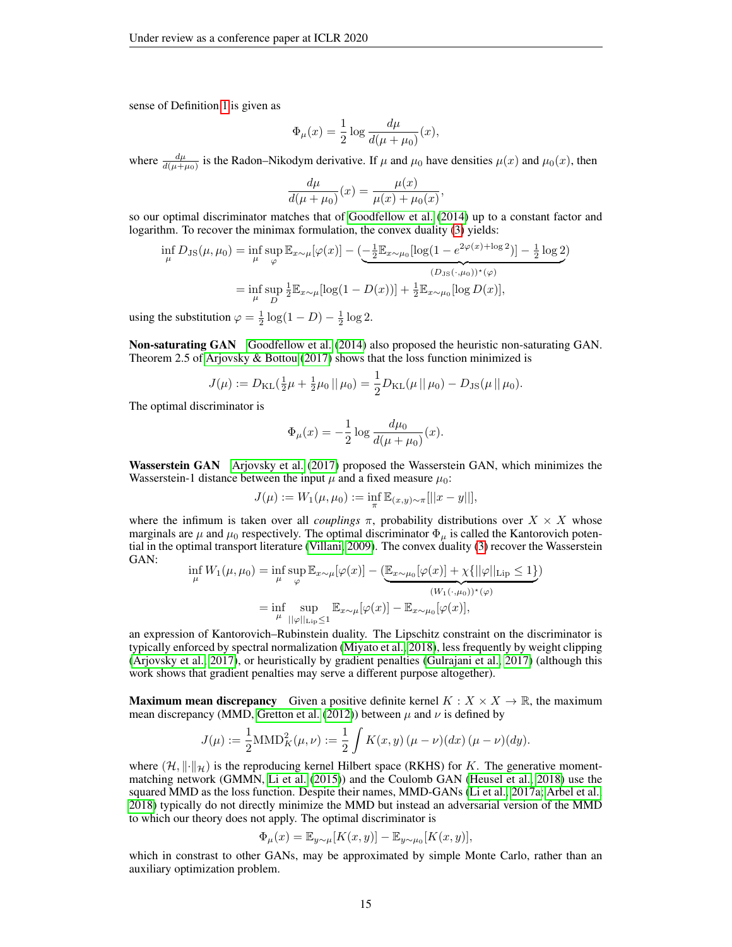sense of Definition [1](#page-2-4) is given as

$$
\Phi_{\mu}(x) = \frac{1}{2} \log \frac{d\mu}{d(\mu + \mu_0)}(x),
$$

where  $\frac{d\mu}{d(\mu+\mu_0)}$  is the Radon–Nikodym derivative. If  $\mu$  and  $\mu_0$  have densities  $\mu(x)$  and  $\mu_0(x)$ , then

$$
\frac{d\mu}{d(\mu + \mu_0)}(x) = \frac{\mu(x)}{\mu(x) + \mu_0(x)}
$$

,

so our optimal discriminator matches that of [Goodfellow et al.](#page-10-0) [\(2014\)](#page-10-0) up to a constant factor and logarithm. To recover the minimax formulation, the convex duality [\(3\)](#page-2-3) yields:

$$
\inf_{\mu} D_{\text{JS}}(\mu, \mu_0) = \inf_{\mu} \sup_{\varphi} \mathbb{E}_{x \sim \mu} [\varphi(x)] - \underbrace{(-\frac{1}{2} \mathbb{E}_{x \sim \mu_0} [\log(1 - e^{2\varphi(x) + \log 2})] - \frac{1}{2} \log 2)}_{(D_{\text{JS}}(\cdot, \mu_0))^{\star}(\varphi)}
$$
\n
$$
= \inf_{\mu} \sup_{D} \frac{1}{2} \mathbb{E}_{x \sim \mu} [\log(1 - D(x))] + \frac{1}{2} \mathbb{E}_{x \sim \mu_0} [\log D(x)],
$$

using the substitution  $\varphi = \frac{1}{2} \log(1 - D) - \frac{1}{2} \log 2$ .

Non-saturating GAN [Goodfellow et al.](#page-10-0) [\(2014\)](#page-10-0) also proposed the heuristic non-saturating GAN. Theorem 2.5 of Arjovsky  $\&$  Bottou [\(2017\)](#page-10-6) shows that the loss function minimized is

$$
J(\mu) := D_{\mathrm{KL}}(\frac{1}{2}\mu + \frac{1}{2}\mu_0 \|\mu_0) = \frac{1}{2}D_{\mathrm{KL}}(\mu \|\mu_0) - D_{\mathrm{JS}}(\mu \|\mu_0).
$$

The optimal discriminator is

$$
\Phi_{\mu}(x) = -\frac{1}{2} \log \frac{d\mu_0}{d(\mu + \mu_0)}(x).
$$

Wasserstein GAN [Arjovsky et al.](#page-10-1) [\(2017\)](#page-10-1) proposed the Wasserstein GAN, which minimizes the Wasserstein-1 distance between the input  $\mu$  and a fixed measure  $\mu_0$ :

$$
J(\mu) := W_1(\mu, \mu_0) := \inf_{\pi} \mathbb{E}_{(x,y) \sim \pi}[||x - y||],
$$

where the infimum is taken over all *couplings*  $\pi$ , probability distributions over  $X \times X$  whose marginals are  $\mu$  and  $\mu_0$  respectively. The optimal discriminator  $\Phi_{\mu}$  is called the Kantorovich potential in the optimal transport literature [\(Villani, 2009\)](#page-12-6). The convex duality [\(3\)](#page-2-3) recover the Wasserstein GAN:

$$
\inf_{\mu} W_1(\mu, \mu_0) = \inf_{\mu} \sup_{\varphi} \mathbb{E}_{x \sim \mu}[\varphi(x)] - (\underbrace{\mathbb{E}_{x \sim \mu_0}[\varphi(x)] + \chi\{||\varphi||_{\text{Lip}} \le 1\}}_{(W_1(\cdot, \mu_0))^*(\varphi)})
$$
\n
$$
= \inf_{\mu} \sup_{||\varphi||_{\text{Lip}} \le 1} \mathbb{E}_{x \sim \mu}[\varphi(x)] - \mathbb{E}_{x \sim \mu_0}[\varphi(x)],
$$

an expression of Kantorovich–Rubinstein duality. The Lipschitz constraint on the discriminator is typically enforced by spectral normalization [\(Miyato et al., 2018\)](#page-11-0), less frequently by weight clipping [\(Arjovsky et al., 2017\)](#page-10-1), or heuristically by gradient penalties [\(Gulrajani et al., 2017\)](#page-10-2) (although this work shows that gradient penalties may serve a different purpose altogether).

**Maximum mean discrepancy** Given a positive definite kernel  $K : X \times X \to \mathbb{R}$ , the maximum mean discrepancy (MMD, [Gretton et al.](#page-10-14) [\(2012\)](#page-10-14)) between  $\mu$  and  $\nu$  is defined by

$$
J(\mu) := \frac{1}{2} \text{MMD}_{K}^{2}(\mu, \nu) := \frac{1}{2} \int K(x, y) (\mu - \nu)(dx) (\mu - \nu)(dy).
$$

where  $(\mathcal{H}, \|\cdot\|_{\mathcal{H}})$  is the reproducing kernel Hilbert space (RKHS) for K. The generative momentmatching network (GMMN, [Li et al.](#page-11-4) [\(2015\)](#page-11-4)) and the Coulomb GAN [\(Heusel et al., 2018\)](#page-11-17) use the squared MMD as the loss function. Despite their names, MMD-GANs [\(Li et al., 2017a;](#page-11-18) [Arbel et al.,](#page-10-15) [2018\)](#page-10-15) typically do not directly minimize the MMD but instead an adversarial version of the MMD to which our theory does not apply. The optimal discriminator is

$$
\Phi_{\mu}(x) = \mathbb{E}_{y \sim \mu}[K(x, y)] - \mathbb{E}_{y \sim \mu_0}[K(x, y)],
$$

which in constrast to other GANs, may be approximated by simple Monte Carlo, rather than an auxiliary optimization problem.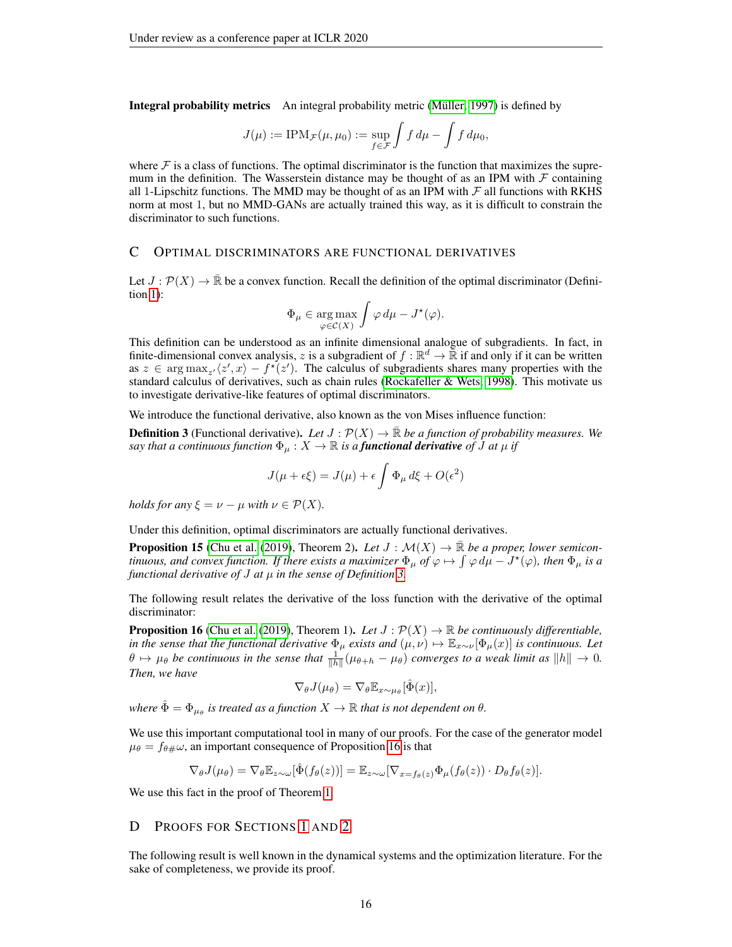Integral probability metrics An integral probability metric (Müller, 1997) is defined by

$$
J(\mu) := \text{IPM}_{\mathcal{F}}(\mu, \mu_0) := \sup_{f \in \mathcal{F}} \int f d\mu - \int f d\mu_0,
$$

where  $\mathcal F$  is a class of functions. The optimal discriminator is the function that maximizes the supremum in the definition. The Wasserstein distance may be thought of as an IPM with  $\mathcal F$  containing all 1-Lipschitz functions. The MMD may be thought of as an IPM with  $\mathcal F$  all functions with RKHS norm at most 1, but no MMD-GANs are actually trained this way, as it is difficult to constrain the discriminator to such functions.

## <span id="page-15-2"></span>C OPTIMAL DISCRIMINATORS ARE FUNCTIONAL DERIVATIVES

Let  $J : \mathcal{P}(X) \to \mathbb{R}$  be a convex function. Recall the definition of the optimal discriminator (Definition [1\)](#page-2-4):

$$
\Phi_{\mu} \in \underset{\varphi \in \mathcal{C}(X)}{\arg \max} \int \varphi \, d\mu - J^{\star}(\varphi).
$$

This definition can be understood as an infinite dimensional analogue of subgradients. In fact, in finite-dimensional convex analysis, z is a subgradient of  $f : \mathbb{R}^d \to \overline{\mathbb{R}}$  if and only if it can be written as  $z \in \arg \max_{z'} \langle z', x \rangle - f^*(z')$ . The calculus of subgradients shares many properties with the standard calculus of derivatives, such as chain rules [\(Rockafeller & Wets, 1998\)](#page-12-3). This motivate us to investigate derivative-like features of optimal discriminators.

We introduce the functional derivative, also known as the von Mises influence function:

<span id="page-15-0"></span>**Definition 3** (Functional derivative). Let  $J : \mathcal{P}(X) \to \mathbb{R}$  be a function of probability measures. We *say that a continuous function*  $\Phi_{\mu}: X \to \mathbb{R}$  *is a functional derivative of J at*  $\mu$  *if* 

$$
J(\mu + \epsilon \xi) = J(\mu) + \epsilon \int \Phi_{\mu} d\xi + O(\epsilon^2)
$$

*holds for any*  $\xi = \nu - \mu$  *with*  $\nu \in \mathcal{P}(X)$ *.* 

Under this definition, optimal discriminators are actually functional derivatives.

**Proposition 15** [\(Chu et al.](#page-10-9) [\(2019\)](#page-10-9), Theorem 2). Let  $J : \mathcal{M}(X) \to \mathbb{R}$  be a proper, lower semicon*tinuous, and convex function. If there exists a maximizer*  $\Phi_\mu$  *of*  $\varphi \mapsto \int \varphi \, d\mu - J^\star(\varphi)$ *, then*  $\Phi_\mu$  *is a functional derivative of* J *at* µ *in the sense of Definition [3.](#page-15-0)*

The following result relates the derivative of the loss function with the derivative of the optimal discriminator:

<span id="page-15-1"></span>**Proposition 16** [\(Chu et al.](#page-10-9) [\(2019\)](#page-10-9), Theorem 1). Let  $J : \mathcal{P}(X) \to \mathbb{R}$  be continuously differentiable, *in the sense that the functional derivative*  $\Phi_\mu$  *exists and*  $(\mu, \nu) \mapsto \mathbb{E}_{x \sim \nu}[\Phi_\mu(x)]$  *is continuous. Let*  $\theta \mapsto \mu_\theta$  be continuous in the sense that  $\frac{1}{\|h\|}(\mu_{\theta+h} - \mu_\theta)$  converges to a weak limit as  $\|h\| \to 0$ . *Then, we have*

$$
\nabla_{\theta} J(\mu_{\theta}) = \nabla_{\theta} \mathbb{E}_{x \sim \mu_{\theta}}[\hat{\Phi}(x)],
$$

where  $\hat{\Phi} = \Phi_{\mu_{\theta}}$  is treated as a function  $X \to \mathbb{R}$  that is not dependent on  $\theta$ .

We use this important computational tool in many of our proofs. For the case of the generator model  $\mu_{\theta} = f_{\theta\#}\omega$ , an important consequence of Proposition [16](#page-15-1) is that

$$
\nabla_{\theta} J(\mu_{\theta}) = \nabla_{\theta} \mathbb{E}_{z \sim \omega}[\hat{\Phi}(f_{\theta}(z))] = \mathbb{E}_{z \sim \omega}[\nabla_{x = f_{\theta}(z)} \Phi_{\mu}(f_{\theta}(z)) \cdot D_{\theta} f_{\theta}(z)].
$$

We use this fact in the proof of Theorem [1.](#page-3-0)

#### D PROOFS FOR SECTIONS [1](#page-0-1) AND [2](#page-2-2)

The following result is well known in the dynamical systems and the optimization literature. For the sake of completeness, we provide its proof.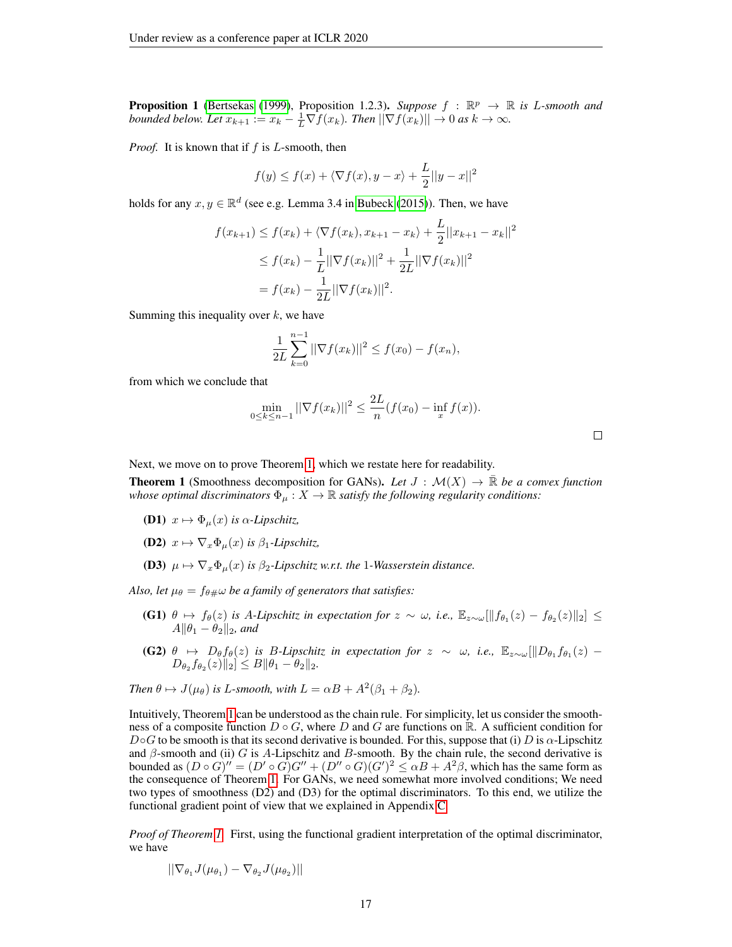**Proposition 1** [\(Bertsekas](#page-10-5) [\(1999\)](#page-10-5), Proposition 1.2.3). *Suppose*  $f : \mathbb{R}^p \to \mathbb{R}$  is *L*-smooth and *bounded below. Let*  $x_{k+1} := x_k - \frac{1}{L} \nabla f(x_k)$ *. Then*  $||\nabla f(x_k)|| \to 0$  *as*  $k \to \infty$ *.* 

*Proof.* It is known that if f is L-smooth, then

$$
f(y) \le f(x) + \langle \nabla f(x), y - x \rangle + \frac{L}{2} ||y - x||^2
$$

holds for any  $x, y \in \mathbb{R}^d$  (see e.g. Lemma 3.4 in [Bubeck](#page-10-16) [\(2015\)](#page-10-16)). Then, we have

$$
f(x_{k+1}) \le f(x_k) + \langle \nabla f(x_k), x_{k+1} - x_k \rangle + \frac{L}{2} ||x_{k+1} - x_k||^2
$$
  
\n
$$
\le f(x_k) - \frac{1}{L} ||\nabla f(x_k)||^2 + \frac{1}{2L} ||\nabla f(x_k)||^2
$$
  
\n
$$
= f(x_k) - \frac{1}{2L} ||\nabla f(x_k)||^2.
$$

Summing this inequality over  $k$ , we have

$$
\frac{1}{2L} \sum_{k=0}^{n-1} ||\nabla f(x_k)||^2 \le f(x_0) - f(x_n),
$$

from which we conclude that

$$
\min_{0 \le k \le n-1} ||\nabla f(x_k)||^2 \le \frac{2L}{n} (f(x_0) - \inf_x f(x)).
$$

Next, we move on to prove Theorem [1,](#page-3-0) which we restate here for readability.

**Theorem 1** (Smoothness decomposition for GANs). Let  $J : \mathcal{M}(X) \to \mathbb{R}$  be a convex function *whose optimal discriminators*  $\Phi_{\mu}: X \to \mathbb{R}$  *satisfy the following regularity conditions:* 

- **(D1)**  $x \mapsto \Phi_u(x)$  *is*  $\alpha$ -*Lipschitz*,
- (D2)  $x \mapsto \nabla_x \Phi_u(x)$  *is*  $\beta_1$ -Lipschitz,
- (D3)  $\mu \mapsto \nabla_x \Phi_\mu(x)$  *is*  $\beta_2$ -Lipschitz w.r.t. the 1-Wasserstein distance.

*Also, let*  $\mu_{\theta} = f_{\theta\#} \omega$  *be a family of generators that satisfies:* 

- (G1)  $\theta \mapsto f_{\theta}(z)$  *is A-Lipschitz in expectation for*  $z \sim \omega$ *, i.e.*,  $\mathbb{E}_{z \sim \omega}[\|f_{\theta_1}(z) f_{\theta_2}(z)\|_2]$  ≤  $A\|\theta_1 - \theta_2\|_2$ , and
- (G2)  $\theta \mapsto D_{\theta}f_{\theta}(z)$  *is B-Lipschitz in expectation for*  $z \sim \omega$ *, i.e.,*  $\mathbb{E}_{z \sim \omega}[\Vert D_{\theta_1}f_{\theta_1}(z) D_{\theta_2} f_{\theta_2}(z) \|_2 \leq B \|\theta_1 - \theta_2\|_2.$

*Then*  $\theta \mapsto J(\mu_{\theta})$  *is L*-smooth, with  $L = \alpha B + A^2(\beta_1 + \beta_2)$ .

Intuitively, Theorem [1](#page-3-0) can be understood as the chain rule. For simplicity, let us consider the smoothness of a composite function  $D \circ G$ , where D and G are functions on R. A sufficient condition for  $D \circ G$  to be smooth is that its second derivative is bounded. For this, suppose that (i) D is  $\alpha$ -Lipschitz and  $\beta$ -smooth and (ii) G is A-Lipschitz and B-smooth. By the chain rule, the second derivative is bounded as  $(D \circ G)'' = (D' \circ G)G'' + (D'' \circ G)(G')^2 \leq \alpha B + A^2 \beta$ , which has the same form as the consequence of Theorem [1.](#page-3-0) For GANs, we need somewhat more involved conditions; We need two types of smoothness (D2) and (D3) for the optimal discriminators. To this end, we utilize the functional gradient point of view that we explained in Appendix [C.](#page-15-2)

*Proof of Theorem [1.](#page-3-0)* First, using the functional gradient interpretation of the optimal discriminator, we have

$$
\left|\left|\nabla_{\theta_1} J(\mu_{\theta_1}) - \nabla_{\theta_2} J(\mu_{\theta_2})\right|\right|
$$

 $\Box$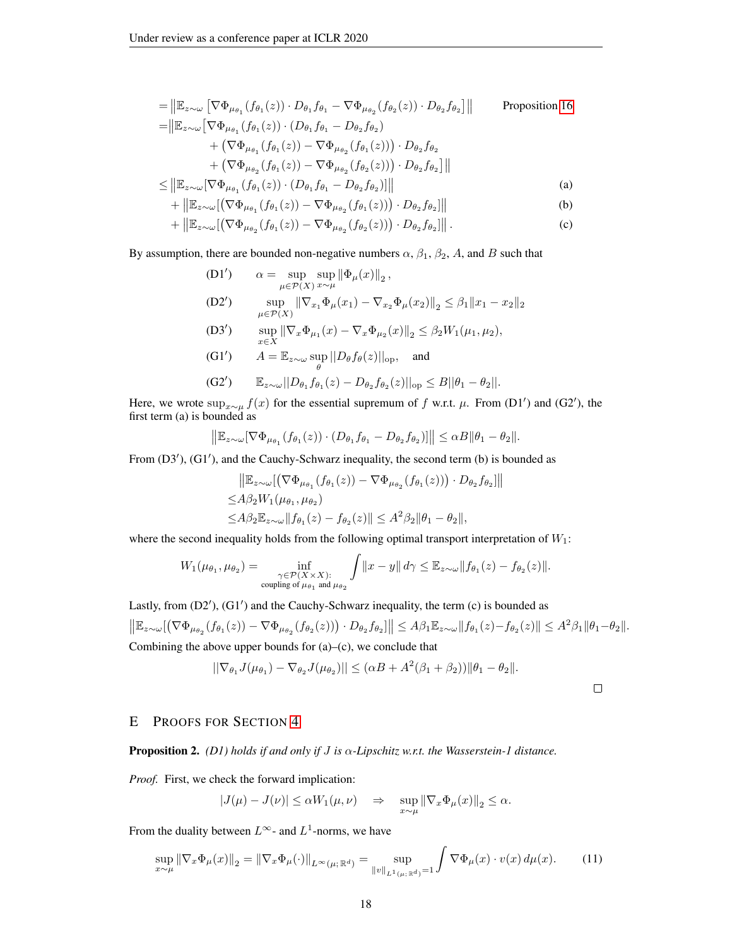$$
= \|\mathbb{E}_{z \sim \omega} \left[ \nabla \Phi_{\mu_{\theta_1}}(f_{\theta_1}(z)) \cdot D_{\theta_1} f_{\theta_1} - \nabla \Phi_{\mu_{\theta_2}}(f_{\theta_2}(z)) \cdot D_{\theta_2} f_{\theta_2} \right] \| \qquad \text{Proposition 16}
$$
\n
$$
= \|\mathbb{E}_{z \sim \omega} \left[ \nabla \Phi_{\mu_{\theta_1}}(f_{\theta_1}(z)) \cdot (D_{\theta_1} f_{\theta_1} - D_{\theta_2} f_{\theta_2}) + (\nabla \Phi_{\mu_{\theta_1}}(f_{\theta_1}(z)) - \nabla \Phi_{\mu_{\theta_2}}(f_{\theta_1}(z))) \cdot D_{\theta_2} f_{\theta_2} + (\nabla \Phi_{\mu_{\theta_2}}(f_{\theta_1}(z)) - \nabla \Phi_{\mu_{\theta_2}}(f_{\theta_2}(z))) \cdot D_{\theta_2} f_{\theta_2} \right] \| \leq \|\mathbb{E}_{z \sim \omega} [\nabla \Phi_{\mu_{\theta_1}}(f_{\theta_1}(z)) \cdot (D_{\theta_1} f_{\theta_1} - D_{\theta_2} f_{\theta_2})] \| \qquad (a)
$$

$$
+\left\|\mathbb{E}_{z\sim\omega}\left[\left(\nabla\Phi_{\mu_{\theta_1}}(f_{\theta_1}(z)) - \nabla\Phi_{\mu_{\theta_2}}(f_{\theta_1}(z))\right) \cdot D_{\theta_2}f_{\theta_2}\right]\right\|
$$
 (b)

$$
+ \left\| \mathbb{E}_{z \sim \omega} [\left( \nabla \Phi_{\mu_{\theta_2}}(f_{\theta_1}(z)) - \nabla \Phi_{\mu_{\theta_2}}(f_{\theta_2}(z)) \right) \cdot D_{\theta_2} f_{\theta_2}] \right\|.
$$
 (c)

By assumption, there are bounded non-negative numbers  $\alpha$ ,  $\beta_1$ ,  $\beta_2$ , A, and B such that

 $(D1')$  $\alpha = \sup_{\mu \in \mathcal{P}(X)} \sup_{x \sim \mu} \|\Phi_{\mu}(x)\|_{2},$  $(D2')$ (x<sub>1</sub>)  $\|\nabla_{x_1}\Phi_\mu(x_1) - \nabla_{x_2}\Phi_\mu(x_2)\|_2 \leq \beta_1 \|x_1 - x_2\|_2$ 

(D3') 
$$
\sup_{x \in X} \|\nabla_x \Phi_{\mu_1}(x) - \nabla_x \Phi_{\mu_2}(x)\|_2 \leq \beta_2 W_1(\mu_1, \mu_2),
$$

(G1')  $A = \mathbb{E}_{z \sim \omega} \sup_{\theta} ||D_{\theta} f_{\theta}(z)||_{\text{op}}$ , and

(G2') 
$$
\mathbb{E}_{z \sim \omega} ||D_{\theta_1} f_{\theta_1}(z) - D_{\theta_2} f_{\theta_2}(z)||_{op} \leq B ||\theta_1 - \theta_2||.
$$

Here, we wrote  $\sup_{x\sim\mu} f(x)$  for the essential supremum of f w.r.t.  $\mu$ . From (D1') and (G2'), the first term (a) is bounded as

$$
\left\|\mathbb{E}_{z\sim\omega}[\nabla\Phi_{\mu_{\theta_1}}(f_{\theta_1}(z))\cdot(D_{\theta_1}f_{\theta_1}-D_{\theta_2}f_{\theta_2})]\right\|\leq \alpha B\|\theta_1-\theta_2\|.
$$

From  $(D3')$ ,  $(G1')$ , and the Cauchy-Schwarz inequality, the second term (b) is bounded as

$$
\|\mathbb{E}_{z \sim \omega}[(\nabla \Phi_{\mu_{\theta_1}}(f_{\theta_1}(z)) - \nabla \Phi_{\mu_{\theta_2}}(f_{\theta_1}(z)) \cdot D_{\theta_2} f_{\theta_2}] \| \leq A\beta_2 W_1(\mu_{\theta_1}, \mu_{\theta_2}) \leq A\beta_2 \mathbb{E}_{z \sim \omega} \|f_{\theta_1}(z) - f_{\theta_2}(z) \| \leq A^2 \beta_2 \|\theta_1 - \theta_2\|,
$$

where the second inequality holds from the following optimal transport interpretation of  $W_1$ :

$$
W_1(\mu_{\theta_1}, \mu_{\theta_2}) = \inf_{\substack{\gamma \in \mathcal{P}(X \times X): \\ \text{coupling of } \mu_{\theta_1} \text{ and } \mu_{\theta_2}}} \int ||x - y|| d\gamma \leq \mathbb{E}_{z \sim \omega} ||f_{\theta_1}(z) - f_{\theta_2}(z)||.
$$

Lastly, from  $(D2')$ ,  $(G1')$  and the Cauchy-Schwarz inequality, the term  $(c)$  is bounded as  $\|\mathbb{E}_{z\sim\omega}[\left(\nabla\Phi_{\mu_{\theta_2}}(f_{\theta_1}(z)) - \nabla\Phi_{\mu_{\theta_2}}(f_{\theta_2}(z))\right) \cdot D_{\theta_2}f_{\theta_2}]\| \leq A\beta_1 \mathbb{E}_{z\sim\omega} \|f_{\theta_1}(z) - f_{\theta_2}(z)\| \leq A^2\beta_1 \|\theta_1 - \theta_2\|.$ Combining the above upper bounds for  $(a)$ – $(c)$ , we conclude that

$$
||\nabla_{\theta_1} J(\mu_{\theta_1}) - \nabla_{\theta_2} J(\mu_{\theta_2})|| \leq (\alpha B + A^2(\beta_1 + \beta_2)) ||\theta_1 - \theta_2||.
$$

## E PROOFS FOR SECTION [4](#page-5-0)

Proposition 2. *(D1) holds if and only if* J *is* α*-Lipschitz w.r.t. the Wasserstein-1 distance.*

*Proof.* First, we check the forward implication:

<span id="page-17-0"></span>
$$
|J(\mu)-J(\nu)|\leq \alpha W_1(\mu,\nu) \quad \Rightarrow \quad \sup_{x\sim \mu}\|\nabla_x\Phi_\mu(x)\|_2\leq \alpha.
$$

From the duality between  $L^{\infty}$ - and  $L^1$ -norms, we have

$$
\sup_{x \sim \mu} \|\nabla_x \Phi_\mu(x)\|_2 = \|\nabla_x \Phi_\mu(\cdot)\|_{L^\infty(\mu; \mathbb{R}^d)} = \sup_{\|v\|_{L^1(\mu; \mathbb{R}^d)} = 1} \int \nabla \Phi_\mu(x) \cdot v(x) \, d\mu(x). \tag{11}
$$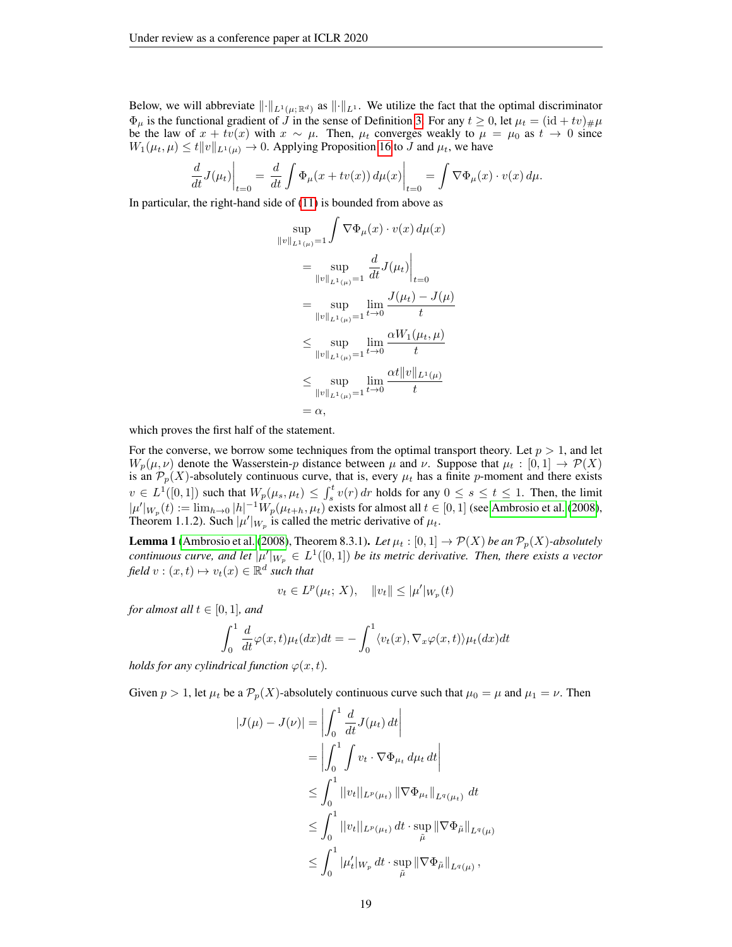Below, we will abbreviate  $\|\cdot\|_{L^1(\mu;\mathbb{R}^d)}$  as  $\|\cdot\|_{L^1}$ . We utilize the fact that the optimal discriminator  $\Phi_{\mu}$  is the functional gradient of  $\tilde{J}$  in the sense of Definition [3.](#page-15-0) For any  $t \ge 0$ , let  $\mu_t = (\mathrm{id} + tv)_{\#}\mu$ be the law of  $x + tv(x)$  with  $x \sim \mu$ . Then,  $\mu_t$  converges weakly to  $\mu = \mu_0$  as  $t \to 0$  since  $W_1(\mu_t, \mu) \leq t \|v\|_{L^1(\mu)} \to 0$ . Applying Proposition [16](#page-15-1) to J and  $\mu_t$ , we have

$$
\frac{d}{dt}J(\mu_t)\Big|_{t=0} = \frac{d}{dt}\int \Phi_\mu(x+tv(x))\,d\mu(x)\Big|_{t=0} = \int \nabla \Phi_\mu(x)\cdot v(x)\,d\mu.
$$

In particular, the right-hand side of [\(11\)](#page-17-0) is bounded from above as

$$
\sup_{\|v\|_{L^{1}(\mu)}=1} \int \nabla \Phi_{\mu}(x) \cdot v(x) d\mu(x)
$$
\n
$$
= \sup_{\|v\|_{L^{1}(\mu)}=1} \frac{d}{dt} J(\mu_t) \Big|_{t=0}
$$
\n
$$
= \sup_{\|v\|_{L^{1}(\mu)}=1} \lim_{t \to 0} \frac{J(\mu_t) - J(\mu)}{t}
$$
\n
$$
\leq \sup_{\|v\|_{L^{1}(\mu)}=1} \lim_{t \to 0} \frac{\alpha W_{1}(\mu_t, \mu)}{t}
$$
\n
$$
\leq \sup_{\|v\|_{L^{1}(\mu)}=1} \lim_{t \to 0} \frac{\alpha t \|\nu\|_{L^{1}(\mu)}}{t}
$$
\n
$$
= \alpha,
$$

which proves the first half of the statement.

For the converse, we borrow some techniques from the optimal transport theory. Let  $p > 1$ , and let  $W_p(\mu, \nu)$  denote the Wasserstein-p distance between  $\mu$  and  $\nu$ . Suppose that  $\mu_t : [0, 1] \to \mathcal{P}(X)$ is an  $\mathcal{P}_p(X)$ -absolutely continuous curve, that is, every  $\mu_t$  has a finite p-moment and there exists  $v \in L^1([0,1])$  such that  $W_p(\mu_s, \mu_t) \leq \int_s^t v(r) dr$  holds for any  $0 \leq s \leq t \leq 1$ . Then, the limit  $|\mu'|_{W_p}(t) := \lim_{h \to 0} |h|^{-1} W_p(\mu_{t+h}, \mu_t)$  exists for almost all  $t \in [0, 1]$  (see [Ambrosio et al.](#page-10-17) [\(2008\)](#page-10-17), Theorem 1.1.2). Such  $|\mu'|_{W_p}$  is called the metric derivative of  $\mu_t$ .

<span id="page-18-0"></span>**Lemma 1** [\(Ambrosio et al.](#page-10-17) [\(2008\)](#page-10-17), Theorem 8.3.1). Let  $\mu_t$  :  $[0,1] \to \mathcal{P}(X)$  be an  $\mathcal{P}_p(X)$ -absolutely *continuous curve, and let*  $|\mu'|_{W_p} \in L^1([0,1])$  *be its metric derivative. Then, there exists a vector*  $\text{field } v : (x, t) \mapsto v_t(x) \in \mathbb{R}^d \text{ such that}$ 

$$
v_t \in L^p(\mu_t; X), \quad ||v_t|| \leq |\mu'|_{W_p}(t)
$$

*for almost all*  $t \in [0, 1]$ *, and* 

$$
\int_0^1 \frac{d}{dt} \varphi(x, t) \mu_t(dx) dt = - \int_0^1 \langle v_t(x), \nabla_x \varphi(x, t) \rangle \mu_t(dx) dt
$$

*holds for any cylindrical function*  $\varphi(x, t)$ *.* 

Given  $p > 1$ , let  $\mu_t$  be a  $\mathcal{P}_p(X)$ -absolutely continuous curve such that  $\mu_0 = \mu$  and  $\mu_1 = \nu$ . Then

$$
|J(\mu) - J(\nu)| = \left| \int_0^1 \frac{d}{dt} J(\mu_t) dt \right|
$$
  
=  $\left| \int_0^1 \int v_t \cdot \nabla \Phi_{\mu_t} d\mu_t dt \right|$   
 $\leq \int_0^1 ||v_t||_{L^p(\mu_t)} ||\nabla \Phi_{\mu_t}||_{L^q(\mu_t)} dt$   
 $\leq \int_0^1 ||v_t||_{L^p(\mu_t)} dt \cdot \sup_{\tilde{\mu}} ||\nabla \Phi_{\tilde{\mu}}||_{L^q(\mu)}$   
 $\leq \int_0^1 |\mu_t'|_{W_p} dt \cdot \sup_{\tilde{\mu}} ||\nabla \Phi_{\tilde{\mu}}||_{L^q(\mu)},$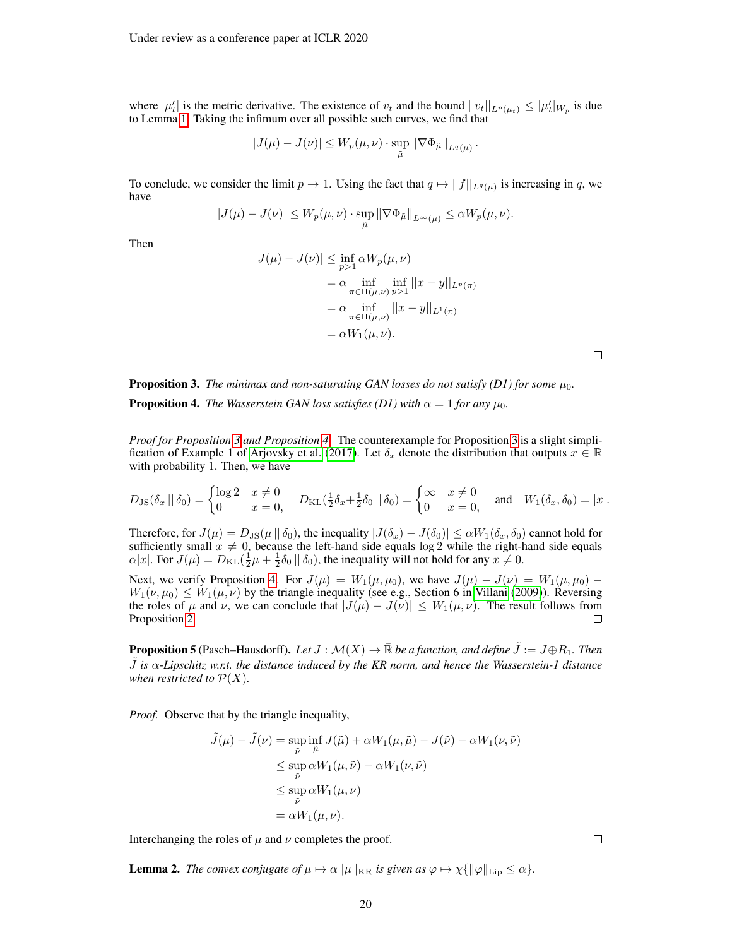where  $|\mu'_t|$  is the metric derivative. The existence of  $v_t$  and the bound  $||v_t||_{L^p(\mu_t)} \leq |\mu'_t|_{W_p}$  is due to Lemma [1.](#page-18-0) Taking the infimum over all possible such curves, we find that

$$
|J(\mu) - J(\nu)| \leq W_p(\mu, \nu) \cdot \sup_{\tilde{\mu}} ||\nabla \Phi_{\tilde{\mu}}||_{L^q(\mu)}.
$$

To conclude, we consider the limit  $p \to 1$ . Using the fact that  $q \mapsto ||f||_{L^q(\mu)}$  is increasing in q, we have

$$
|J(\mu) - J(\nu)| \le W_p(\mu, \nu) \cdot \sup_{\tilde{\mu}} ||\nabla \Phi_{\tilde{\mu}}||_{L^{\infty}(\mu)} \le \alpha W_p(\mu, \nu).
$$

Then

$$
|J(\mu) - J(\nu)| \le \inf_{p>1} \alpha W_p(\mu, \nu)
$$
  
=  $\alpha \inf_{\pi \in \Pi(\mu, \nu)} \inf_{p>1} ||x - y||_{L^p(\pi)}$   
=  $\alpha \inf_{\pi \in \Pi(\mu, \nu)} ||x - y||_{L^1(\pi)}$   
=  $\alpha W_1(\mu, \nu).$ 

 $\Box$ 

**Proposition 3.** The minimax and non-saturating GAN losses do not satisfy (D1) for some  $\mu_0$ . **Proposition 4.** *The Wasserstein GAN loss satisfies (D1) with*  $\alpha = 1$  *for any*  $\mu_0$ *.* 

*Proof for Proposition [3](#page-5-3) and Proposition [4.](#page-5-4)* The counterexample for Proposition [3](#page-5-3) is a slight simpli-fication of Example 1 of [Arjovsky et al.](#page-10-1) [\(2017\)](#page-10-1). Let  $\delta_x$  denote the distribution that outputs  $x \in \mathbb{R}$ with probability 1. Then, we have

$$
D_{\text{JS}}(\delta_x \mid \mid \delta_0) = \begin{cases} \log 2 & x \neq 0 \\ 0 & x = 0 \end{cases} \quad D_{\text{KL}}(\frac{1}{2}\delta_x + \frac{1}{2}\delta_0 \mid \mid \delta_0) = \begin{cases} \infty & x \neq 0 \\ 0 & x = 0 \end{cases} \quad \text{and} \quad W_1(\delta_x, \delta_0) = |x|.
$$

Therefore, for  $J(\mu) = D_{\text{JS}}(\mu \|\delta_0)$ , the inequality  $|J(\delta_x) - J(\delta_0)| \le \alpha W_1(\delta_x, \delta_0)$  cannot hold for sufficiently small  $x \neq 0$ , because the left-hand side equals log 2 while the right-hand side equals  $\alpha|x|$ . For  $J(\mu) = D_{\text{KL}}(\frac{1}{2}\mu + \frac{1}{2}\delta_0 || \delta_0)$ , the inequality will not hold for any  $x \neq 0$ .

Next, we verify Proposition [4.](#page-5-4) For  $J(\mu) = W_1(\mu, \mu_0)$ , we have  $J(\mu) - J(\nu) = W_1(\mu, \mu_0)$  $W_1(\nu, \mu_0) \leq W_1(\mu, \nu)$  by the triangle inequality (see e.g., Section 6 in [Villani](#page-12-6) [\(2009\)](#page-12-6)). Reversing the roles of  $\mu$  and  $\nu$ , we can conclude that  $|J(\mu) - J(\nu)| \leq W_1(\mu, \nu)$ . The result follows from Proposition 2. Proposition [2.](#page-5-1)

**Proposition 5** (Pasch–Hausdorff). Let  $J : \mathcal{M}(X) \to \mathbb{R}$  be a function, and define  $J := J \oplus R_1$ . Then J˜ *is* α*-Lipschitz w.r.t. the distance induced by the KR norm, and hence the Wasserstein-1 distance when restricted to*  $P(X)$ *.* 

*Proof.* Observe that by the triangle inequality,

$$
\tilde{J}(\mu) - \tilde{J}(\nu) = \sup_{\tilde{\nu}} \inf_{\tilde{\mu}} J(\tilde{\mu}) + \alpha W_1(\mu, \tilde{\mu}) - J(\tilde{\nu}) - \alpha W_1(\nu, \tilde{\nu})
$$
\n
$$
\leq \sup_{\tilde{\nu}} \alpha W_1(\mu, \tilde{\nu}) - \alpha W_1(\nu, \tilde{\nu})
$$
\n
$$
\leq \sup_{\tilde{\nu}} \alpha W_1(\mu, \nu)
$$
\n
$$
= \alpha W_1(\mu, \nu).
$$

Interchanging the roles of  $\mu$  and  $\nu$  completes the proof.

<span id="page-19-0"></span>**Lemma 2.** *The convex conjugate of*  $\mu \mapsto \alpha ||\mu||_{KR}$  *is given as*  $\varphi \mapsto \chi \{||\varphi||_{\text{Lip}} \leq \alpha \}.$ 

 $\Box$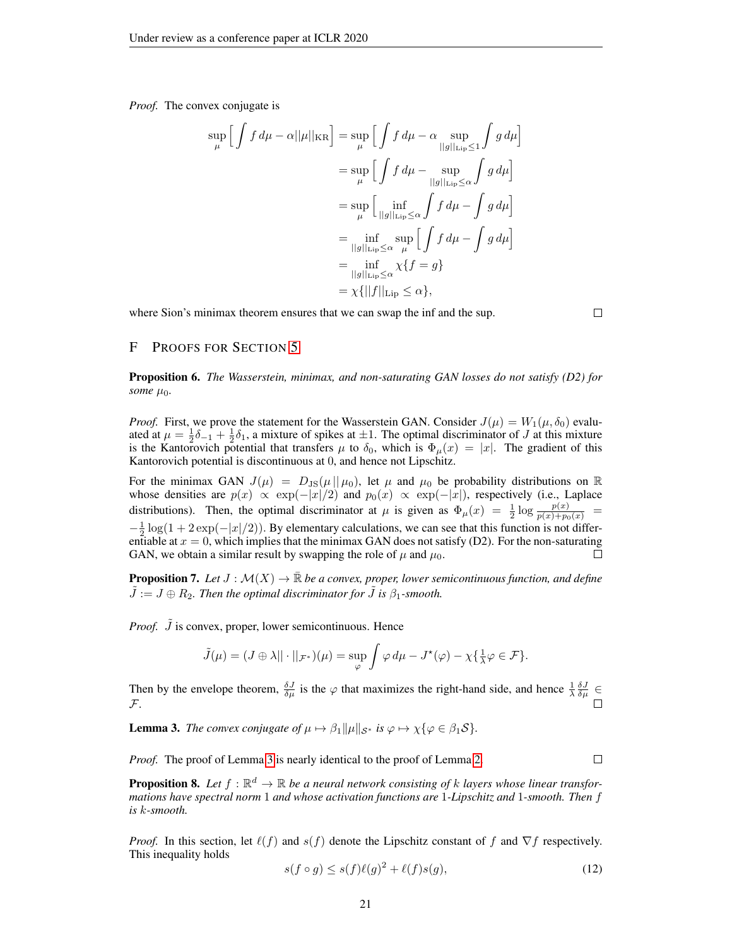*Proof.* The convex conjugate is

$$
\sup_{\mu} \left[ \int f d\mu - \alpha ||\mu||_{\text{KR}} \right] = \sup_{\mu} \left[ \int f d\mu - \alpha \sup_{||g||_{\text{Lip}} \le 1} \int g d\mu \right]
$$
  

$$
= \sup_{\mu} \left[ \int f d\mu - \sup_{||g||_{\text{Lip}} \le \alpha} \int g d\mu \right]
$$
  

$$
= \sup_{\mu} \left[ \inf_{||g||_{\text{Lip}} \le \alpha} \int f d\mu - \int g d\mu \right]
$$
  

$$
= \inf_{||g||_{\text{Lip}} \le \alpha} \sup_{\mu} \left[ \int f d\mu - \int g d\mu \right]
$$
  

$$
= \inf_{||g||_{\text{Lip}} \le \alpha} \sup_{\mu} \left[ \int f d\mu - \int g d\mu \right]
$$
  

$$
= \inf_{||g||_{\text{Lip}} \le \alpha} \chi\{f = g\}
$$
  

$$
= \chi\{||f||_{\text{Lip}} \le \alpha\},
$$

where Sion's minimax theorem ensures that we can swap the inf and the sup.

 $\Box$ 

 $\Box$ 

## F PROOFS FOR SECTION [5](#page-6-2)

Proposition 6. *The Wasserstein, minimax, and non-saturating GAN losses do not satisfy (D2) for some*  $\mu_0$ *.* 

*Proof.* First, we prove the statement for the Wasserstein GAN. Consider  $J(\mu) = W_1(\mu, \delta_0)$  evaluated at  $\mu = \frac{1}{2}\delta_{-1} + \frac{1}{2}\delta_1$ , a mixture of spikes at  $\pm 1$ . The optimal discriminator of J at this mixture is the Kantorovich potential that transfers  $\mu$  to  $\delta_0$ , which is  $\Phi_{\mu}(x) = |x|$ . The gradient of this Kantorovich potential is discontinuous at 0, and hence not Lipschitz.

For the minimax GAN  $J(\mu) = D_{\text{JS}}(\mu||\mu_0)$ , let  $\mu$  and  $\mu_0$  be probability distributions on  $\mathbb R$ whose densities are  $p(x) \propto \exp(-|x|/2)$  and  $p_0(x) \propto \exp(-|x|)$ , respectively (i.e., Laplace distributions). Then, the optimal discriminator at  $\mu$  is given as  $\Phi_{\mu}(x) = \frac{1}{2} \log \frac{p(x)}{p(x) + p_0(x)}$  $-\frac{1}{2}\log(1+2\exp(-|x|/2))$ . By elementary calculations, we can see that this function is not differentiable at  $x = 0$ , which implies that the minimax GAN does not satisfy (D2). For the non-saturating GAN, we obtain a similar result by swapping the role of  $\mu$  and  $\mu_0$ .  $\Box$ 

**Proposition 7.** Let  $J : \mathcal{M}(X) \to \overline{\mathbb{R}}$  *be a convex, proper, lower semicontinuous function, and define*  $\ddot{J} := J \oplus R_2$ . Then the optimal discriminator for  $\ddot{J}$  is  $\beta_1$ -smooth.

*Proof.*  $\tilde{J}$  is convex, proper, lower semicontinuous. Hence

$$
\tilde{J}(\mu) = (J \oplus \lambda || \cdot ||_{\mathcal{F}^*})(\mu) = \sup_{\varphi} \int \varphi \, d\mu - J^*(\varphi) - \chi \{ \frac{1}{\lambda} \varphi \in \mathcal{F} \}.
$$

Then by the envelope theorem,  $\frac{\delta J}{\delta \mu}$  is the  $\varphi$  that maximizes the right-hand side, and hence  $\frac{1}{\lambda} \frac{\delta J}{\delta \mu} \in$ F.

<span id="page-20-0"></span>**Lemma 3.** *The convex conjugate of*  $\mu \mapsto \beta_1 ||\mu||_{\mathcal{S}^*}$  *is*  $\varphi \mapsto \chi {\varphi \in \beta_1 \mathcal{S}}$ *.* 

*Proof.* The proof of Lemma [3](#page-20-0) is nearly identical to the proof of Lemma [2.](#page-19-0)

**Proposition 8.** Let  $f : \mathbb{R}^d \to \mathbb{R}$  be a neural network consisting of k layers whose linear transfor*mations have spectral norm* 1 *and whose activation functions are* 1*-Lipschitz and* 1*-smooth. Then* f *is* k*-smooth.*

*Proof.* In this section, let  $\ell(f)$  and  $s(f)$  denote the Lipschitz constant of f and  $\nabla f$  respectively. This inequality holds

<span id="page-20-1"></span>
$$
s(f \circ g) \le s(f)\ell(g)^2 + \ell(f)s(g),\tag{12}
$$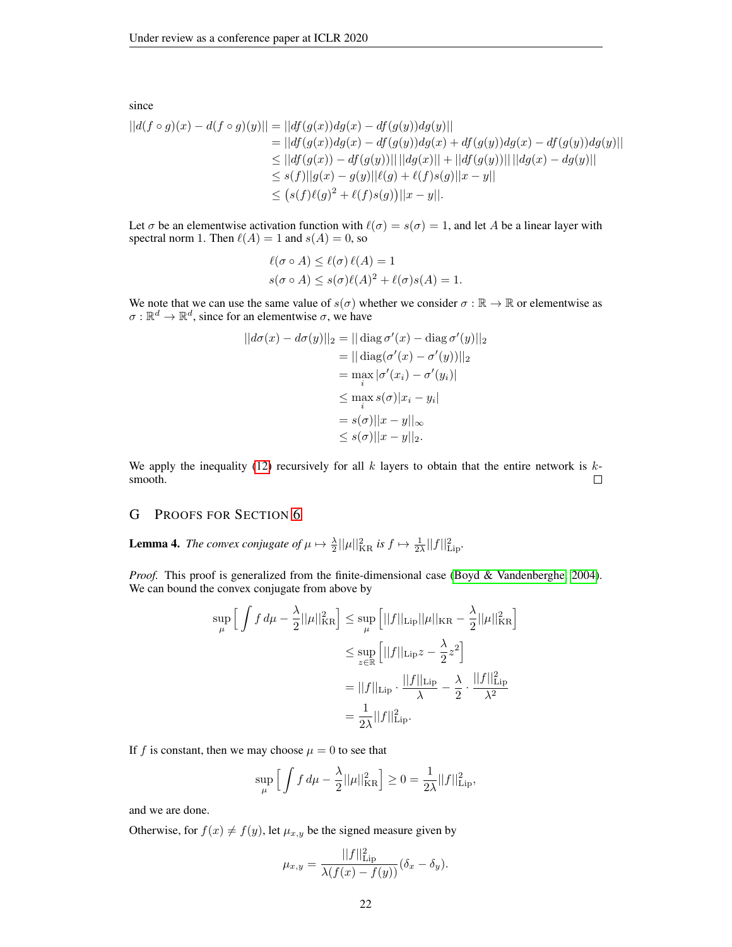since  $||d(f \circ g)(x) - d(f \circ g)(y)|| = ||df(g(x))dg(x) - df(g(y))dg(y)||$  $= ||df(g(x))dg(x) - df(g(y))dg(x) + df(g(y))dg(x) - df(g(y))dg(y)||$  $\leq ||df(g(x)) - df(g(y))|| \, ||dg(x)|| + ||df(g(y))|| \, ||dg(x) - dg(y)||$  $\leq s(f)||g(x) - g(y)||\ell(g) + \ell(f)s(g)||x - y||$  $\leq (s(f)\ell(g)^{2} + \ell(f)s(g))||x - y||.$ 

Let  $\sigma$  be an elementwise activation function with  $\ell(\sigma) = s(\sigma) = 1$ , and let A be a linear layer with spectral norm 1. Then  $\ell(A) = 1$  and  $s(A) = 0$ , so

$$
\ell(\sigma \circ A) \leq \ell(\sigma) \ell(A) = 1
$$
  
 
$$
s(\sigma \circ A) \leq s(\sigma) \ell(A)^2 + \ell(\sigma) s(A) = 1.
$$

We note that we can use the same value of  $s(\sigma)$  whether we consider  $\sigma : \mathbb{R} \to \mathbb{R}$  or elementwise as  $\sigma : \mathbb{R}^d \to \mathbb{R}^d$ , since for an elementwise  $\sigma$ , we have

$$
||d\sigma(x) - d\sigma(y)||_2 = || \operatorname{diag} \sigma'(x) - \operatorname{diag} \sigma'(y)||_2
$$
  
\n
$$
= || \operatorname{diag} (\sigma'(x) - \sigma'(y)) ||_2
$$
  
\n
$$
= \max_i |\sigma'(x_i) - \sigma'(y_i)|
$$
  
\n
$$
\leq \max_i s(\sigma) |x_i - y_i|
$$
  
\n
$$
= s(\sigma) ||x - y||_{\infty}
$$
  
\n
$$
\leq s(\sigma) ||x - y||_2.
$$

We apply the inequality [\(12\)](#page-20-1) recursively for all k layers to obtain that the entire network is  $k$ smooth.  $\Box$ 

## G PROOFS FOR SECTION [6](#page-7-0)

<span id="page-21-0"></span>**Lemma 4.** The convex conjugate of  $\mu \mapsto \frac{\lambda}{2} ||\mu||_{\text{KR}}^2$  is  $f \mapsto \frac{1}{2\lambda} ||f||_{\text{Lip}}^2$ .

*Proof.* This proof is generalized from the finite-dimensional case [\(Boyd & Vandenberghe, 2004\)](#page-10-18). We can bound the convex conjugate from above by

$$
\sup_{\mu} \left[ \int f \, d\mu - \frac{\lambda}{2} ||\mu||_{\text{KR}}^2 \right] \leq \sup_{\mu} \left[ ||f||_{\text{Lip}} ||\mu||_{\text{KR}} - \frac{\lambda}{2} ||\mu||_{\text{KR}}^2 \right]
$$

$$
\leq \sup_{z \in \mathbb{R}} \left[ ||f||_{\text{Lip}} z - \frac{\lambda}{2} z^2 \right]
$$

$$
= ||f||_{\text{Lip}} \cdot \frac{||f||_{\text{Lip}}}{\lambda} - \frac{\lambda}{2} \cdot \frac{||f||_{\text{Lip}}^2}{\lambda^2}
$$

$$
= \frac{1}{2\lambda} ||f||_{\text{Lip}}^2.
$$

If f is constant, then we may choose  $\mu = 0$  to see that

$$
\sup_{\mu} \left[ \int f \, d\mu - \frac{\lambda}{2} ||\mu||_{\text{KR}}^2 \right] \ge 0 = \frac{1}{2\lambda} ||f||_{\text{Lip}}^2,
$$

and we are done.

Otherwise, for  $f(x) \neq f(y)$ , let  $\mu_{x,y}$  be the signed measure given by

$$
\mu_{x,y} = \frac{||f||_{\text{Lip}}^2}{\lambda(f(x) - f(y))} (\delta_x - \delta_y).
$$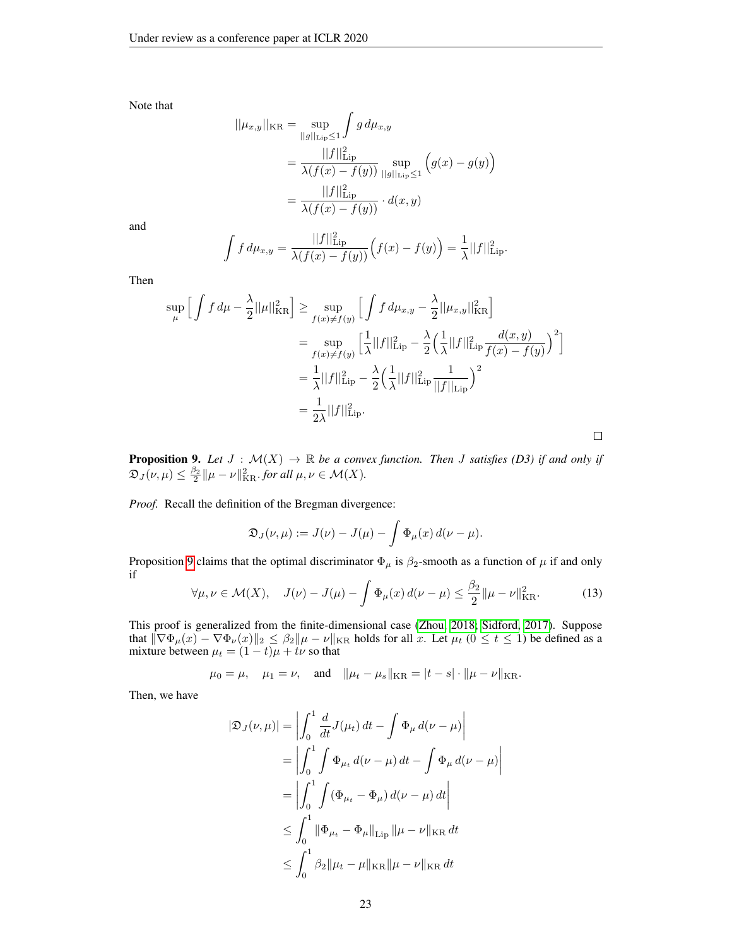Note that

$$
||\mu_{x,y}||_{\text{KR}} = \sup_{||g||_{\text{Lip}} \le 1} \int g d\mu_{x,y}
$$
  
= 
$$
\frac{||f||_{\text{Lip}}^2}{\lambda(f(x) - f(y))} \sup_{||g||_{\text{Lip}} \le 1} (g(x) - g(y))
$$
  
= 
$$
\frac{||f||_{\text{Lip}}^2}{\lambda(f(x) - f(y))} \cdot d(x,y)
$$

and

$$
\int f d\mu_{x,y} = \frac{||f||^2_{\text{Lip}}}{\lambda(f(x) - f(y))} (f(x) - f(y)) = \frac{1}{\lambda} ||f||^2_{\text{Lip}}.
$$

Then

$$
\sup_{\mu} \left[ \int f d\mu - \frac{\lambda}{2} ||\mu||_{\text{KR}}^2 \right] \ge \sup_{f(x) \ne f(y)} \left[ \int f d\mu_{x,y} - \frac{\lambda}{2} ||\mu_{x,y}||_{\text{KR}}^2 \right]
$$
  
\n
$$
= \sup_{f(x) \ne f(y)} \left[ \frac{1}{\lambda} ||f||_{\text{Lip}}^2 - \frac{\lambda}{2} \left( \frac{1}{\lambda} ||f||_{\text{Lip}}^2 \frac{d(x,y)}{f(x) - f(y)} \right)^2 \right]
$$
  
\n
$$
= \frac{1}{\lambda} ||f||_{\text{Lip}}^2 - \frac{\lambda}{2} \left( \frac{1}{\lambda} ||f||_{\text{Lip}}^2 \frac{1}{||f||_{\text{Lip}}^2} \right)^2
$$
  
\n
$$
= \frac{1}{2\lambda} ||f||_{\text{Lip}}^2.
$$

**Proposition 9.** Let  $J : \mathcal{M}(X) \to \mathbb{R}$  be a convex function. Then J satisfies (D3) if and only if  $\mathfrak{D}_J(\nu,\mu) \leq \frac{\beta_2}{2} ||\mu - \nu||_{\text{KR}}^2$  *for all*  $\mu, \nu \in \mathcal{M}(X)$ *.* 

*Proof.* Recall the definition of the Bregman divergence:

$$
\mathfrak{D}_J(\nu,\mu) := J(\nu) - J(\mu) - \int \Phi_\mu(x) d(\nu - \mu).
$$

<span id="page-22-0"></span>Proposition [9](#page-7-1) claims that the optimal discriminator  $\Phi_{\mu}$  is  $\beta_2$ -smooth as a function of  $\mu$  if and only if

$$
\forall \mu, \nu \in \mathcal{M}(X), \quad J(\nu) - J(\mu) - \int \Phi_{\mu}(x) \, d(\nu - \mu) \le \frac{\beta_2}{2} ||\mu - \nu||_{\text{KR}}^2. \tag{13}
$$

 $\bigg\}$ I  $\overline{\phantom{a}}$  $\overline{\phantom{a}}$   $\Box$ 

This proof is generalized from the finite-dimensional case [\(Zhou, 2018;](#page-12-7) [Sidford, 2017\)](#page-12-8). Suppose that  $\|\nabla \Phi_{\mu}(x) - \nabla \Phi_{\nu}(x)\|_{2} \leq \beta_{2} \|\mu - \nu\|_{KR}$  holds for all x. Let  $\mu_{t}$  ( $0 \leq t \leq 1$ ) be defined as a mixture between  $\mu_t = (1 - t)\mu + t\nu$  so that

$$
\mu_0 = \mu
$$
,  $\mu_1 = \nu$ , and  $\|\mu_t - \mu_s\|_{\text{KR}} = |t - s| \cdot \|\mu - \nu\|_{\text{KR}}$ .

Then, we have

$$
|\mathfrak{D}_J(\nu,\mu)| = \left| \int_0^1 \frac{d}{dt} J(\mu_t) dt - \int \Phi_\mu d(\nu - \mu) \right|
$$
  
=  $\left| \int_0^1 \int \Phi_{\mu_t} d(\nu - \mu) dt - \int \Phi_\mu d(\nu - \mu) dt \right|$   
=  $\left| \int_0^1 \int (\Phi_{\mu_t} - \Phi_\mu) d(\nu - \mu) dt \right|$   
 $\leq \int_0^1 \|\Phi_{\mu_t} - \Phi_\mu\|_{\text{Lip}} \|\mu - \nu\|_{\text{KR}} dt$   
 $\leq \int_0^1 \beta_2 \|\mu_t - \mu\|_{\text{KR}} \|\mu - \nu\|_{\text{KR}} dt$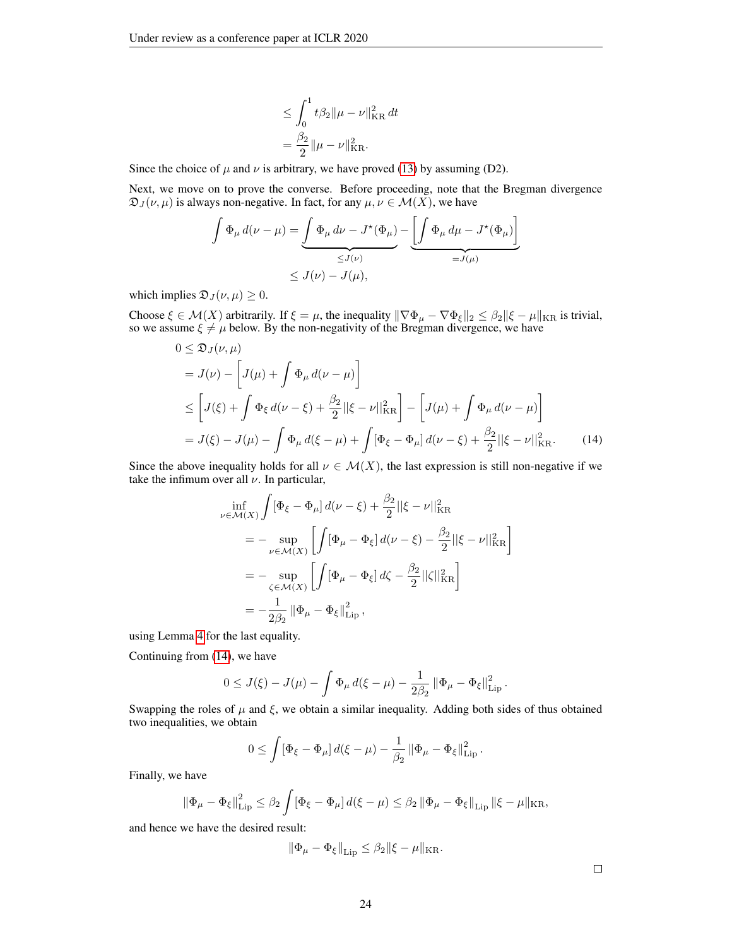$$
\leq \int_0^1 t \beta_2 ||\mu - \nu||_{\text{KR}}^2 dt
$$
  
=  $\frac{\beta_2}{2} ||\mu - \nu||_{\text{KR}}^2$ .

Since the choice of  $\mu$  and  $\nu$  is arbitrary, we have proved [\(13\)](#page-22-0) by assuming (D2).

Next, we move on to prove the converse. Before proceeding, note that the Bregman divergence  $\mathfrak{D}_J(\nu,\mu)$  is always non-negative. In fact, for any  $\mu,\nu \in \mathcal{M}(X)$ , we have

$$
\int \Phi_{\mu} d(\nu - \mu) = \underbrace{\int \Phi_{\mu} d\nu - J^*(\Phi_{\mu})}_{\leq J(\nu)} - \underbrace{\left[\int \Phi_{\mu} d\mu - J^*(\Phi_{\mu})\right]}_{=J(\mu)}
$$
  

$$
\leq J(\nu) - J(\mu),
$$

which implies  $\mathfrak{D}_J(\nu,\mu) \geq 0$ .

Choose  $\xi \in \mathcal{M}(X)$  arbitrarily. If  $\xi = \mu$ , the inequality  $\|\nabla \Phi_{\mu} - \nabla \Phi_{\xi}\|_2 \leq \beta_2 \|\xi - \mu\|_{KR}$  is trivial, so we assume  $\xi \neq \mu$  below. By the non-negativity of the Bregman divergence, we have

$$
0 \leq \mathfrak{D}_{J}(\nu,\mu)
$$
  
=  $J(\nu) - \left[J(\mu) + \int \Phi_{\mu} d(\nu - \mu)\right]$   

$$
\leq \left[J(\xi) + \int \Phi_{\xi} d(\nu - \xi) + \frac{\beta_{2}}{2} ||\xi - \nu||_{\text{KR}}^{2}\right] - \left[J(\mu) + \int \Phi_{\mu} d(\nu - \mu)\right]
$$
  
=  $J(\xi) - J(\mu) - \int \Phi_{\mu} d(\xi - \mu) + \int [\Phi_{\xi} - \Phi_{\mu}] d(\nu - \xi) + \frac{\beta_{2}}{2} ||\xi - \nu||_{\text{KR}}^{2}.$  (14)

Since the above inequality holds for all  $\nu \in \mathcal{M}(X)$ , the last expression is still non-negative if we take the infimum over all  $\nu$ . In particular,

<span id="page-23-1"></span>
$$
\inf_{\nu \in \mathcal{M}(X)} \int [\Phi_{\xi} - \Phi_{\mu}] d(\nu - \xi) + \frac{\beta_2}{2} ||\xi - \nu||_{\text{KR}}^2 \n= - \sup_{\nu \in \mathcal{M}(X)} \left[ \int [\Phi_{\mu} - \Phi_{\xi}] d(\nu - \xi) - \frac{\beta_2}{2} ||\xi - \nu||_{\text{KR}}^2 \right] \n= - \sup_{\zeta \in \mathcal{M}(X)} \left[ \int [\Phi_{\mu} - \Phi_{\xi}] d\zeta - \frac{\beta_2}{2} ||\zeta||_{\text{KR}}^2 \right] \n= - \frac{1}{2\beta_2} ||\Phi_{\mu} - \Phi_{\xi}||_{\text{Lip}}^2,
$$

using Lemma [4](#page-21-0) for the last equality.

Continuing from [\(14\)](#page-23-1), we have

$$
0 \leq J(\xi) - J(\mu) - \int \Phi_{\mu} d(\xi - \mu) - \frac{1}{2\beta_2} ||\Phi_{\mu} - \Phi_{\xi}||_{\text{Lip}}^2.
$$

Swapping the roles of  $\mu$  and  $\xi$ , we obtain a similar inequality. Adding both sides of thus obtained two inequalities, we obtain

$$
0 \leq \int [\Phi_{\xi} - \Phi_{\mu}] d(\xi - \mu) - \frac{1}{\beta_2} ||\Phi_{\mu} - \Phi_{\xi}||_{\text{Lip}}^2.
$$

Finally, we have

$$
\left\|\Phi_{\mu}-\Phi_{\xi}\right\|_{\mathrm{Lip}}^{2} \leq \beta_{2} \int [\Phi_{\xi}-\Phi_{\mu}] \, d(\xi-\mu) \leq \beta_{2} \left\|\Phi_{\mu}-\Phi_{\xi}\right\|_{\mathrm{Lip}} \|\xi-\mu\|_{\mathrm{KR}},
$$

<span id="page-23-0"></span>and hence we have the desired result:

$$
\|\Phi_\mu-\Phi_\xi\|_{\operatorname{Lip}}\leq\beta_2\|\xi-\mu\|_{\operatorname{KR}}.
$$

 $\Box$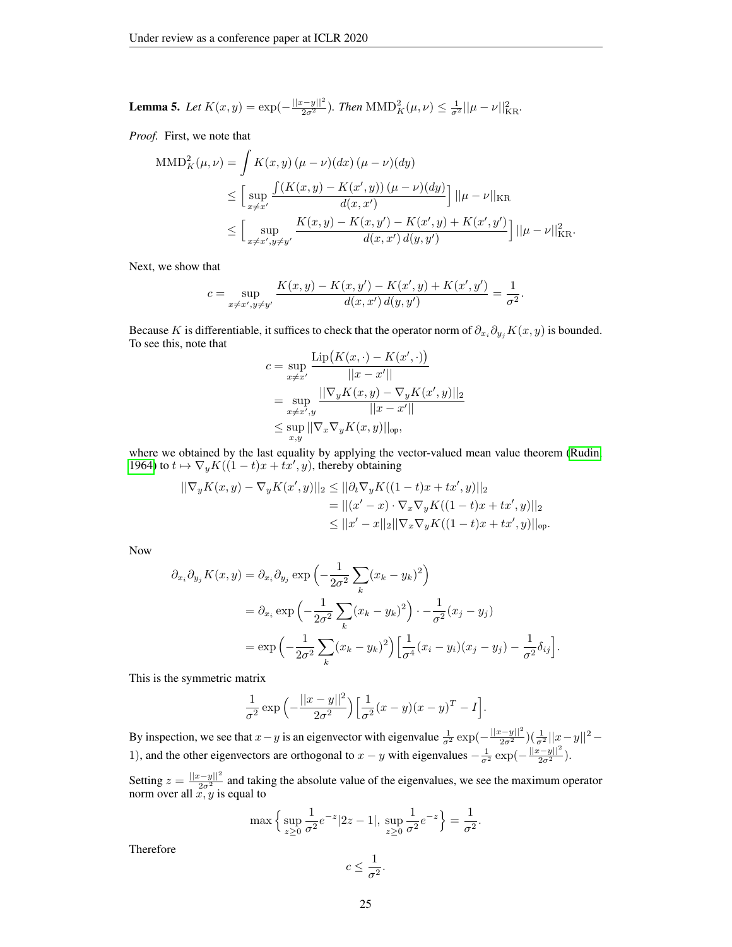**Lemma 5.** Let 
$$
K(x, y) = \exp(-\frac{||x-y||^2}{2\sigma^2})
$$
. Then  $MMD_K^2(\mu, \nu) \leq \frac{1}{\sigma^2} ||\mu - \nu||_{KR}^2$ .

*Proof.* First, we note that

$$
\begin{split} \text{MMD}_{K}^{2}(\mu, \nu) &= \int K(x, y) \left( \mu - \nu \right) (dx) \left( \mu - \nu \right) (dy) \\ &\leq \Big[ \sup_{x \neq x'} \frac{\int (K(x, y) - K(x', y)) \left( \mu - \nu \right) (dy)}{d(x, x')} \Big] \, ||\mu - \nu||_{\text{KR}} \\ &\leq \Big[ \sup_{x \neq x', y \neq y'} \frac{K(x, y) - K(x, y') - K(x', y) + K(x', y')}{d(x, x') \, d(y, y')} \Big] \, ||\mu - \nu||_{\text{KR}}^{2}. \end{split}
$$

Next, we show that

$$
c = \sup_{x \neq x', y \neq y'} \frac{K(x, y) - K(x, y') - K(x', y) + K(x', y')}{d(x, x') d(y, y')} = \frac{1}{\sigma^2}.
$$

Because K is differentiable, it suffices to check that the operator norm of  $\partial_{x_i} \partial_{y_j} K(x, y)$  is bounded. To see this, note that

$$
c = \sup_{x \neq x'} \frac{\text{Lip}(K(x, \cdot) - K(x', \cdot))}{||x - x'||} \\
= \sup_{x \neq x', y} \frac{||\nabla_y K(x, y) - \nabla_y K(x', y)||_2}{||x - x'||} \\
\leq \sup_{x, y} ||\nabla_x \nabla_y K(x, y)||_{\text{op}},
$$

where we obtained by the last equality by applying the vector-valued mean value theorem [\(Rudin,](#page-12-9) [1964\)](#page-12-9) to  $t \mapsto \nabla_y K((1-t)x + tx', y)$ , thereby obtaining

$$
\begin{aligned} ||\nabla_y K(x,y) - \nabla_y K(x',y)||_2 &\leq ||\partial_t \nabla_y K((1-t)x + tx',y)||_2 \\ &= ||(x'-x)\cdot \nabla_x \nabla_y K((1-t)x + tx',y)||_2 \\ &\leq ||x'-x||_2 ||\nabla_x \nabla_y K((1-t)x + tx',y)||_{\text{op}}. \end{aligned}
$$

Now

$$
\partial_{x_i} \partial_{y_j} K(x, y) = \partial_{x_i} \partial_{y_j} \exp\left(-\frac{1}{2\sigma^2} \sum_k (x_k - y_k)^2\right)
$$
  
=  $\partial_{x_i} \exp\left(-\frac{1}{2\sigma^2} \sum_k (x_k - y_k)^2\right) \cdot -\frac{1}{\sigma^2} (x_j - y_j)$   
=  $\exp\left(-\frac{1}{2\sigma^2} \sum_k (x_k - y_k)^2\right) \left[\frac{1}{\sigma^4} (x_i - y_i)(x_j - y_j) - \frac{1}{\sigma^2} \delta_{ij}\right].$ 

This is the symmetric matrix

$$
\frac{1}{\sigma^2} \exp \left(-\frac{||x-y||^2}{2\sigma^2}\right) \left[\frac{1}{\sigma^2}(x-y)(x-y)^T - I\right].
$$

By inspection, we see that  $x - y$  is an eigenvector with eigenvalue  $\frac{1}{\sigma^2} \exp(-\frac{||x-y||^2}{2\sigma^2})(\frac{1}{\sigma^2}||x-y||^2 -$ 1), and the other eigenvectors are orthogonal to  $x - y$  with eigenvalues  $-\frac{1}{\sigma^2} \exp(-\frac{||x-y||^2}{2\sigma^2})$ .

Setting  $z = \frac{||x-y||^2}{2\sigma^2}$  and taking the absolute value of the eigenvalues, we see the maximum operator norm over all  $x, y$  is equal to

$$
\max\left\{\sup_{z\geq 0}\frac{1}{\sigma^2}e^{-z}|2z-1|,\sup_{z\geq 0}\frac{1}{\sigma^2}e^{-z}\right\}=\frac{1}{\sigma^2}.
$$

Therefore

$$
c \le \frac{1}{\sigma^2}.
$$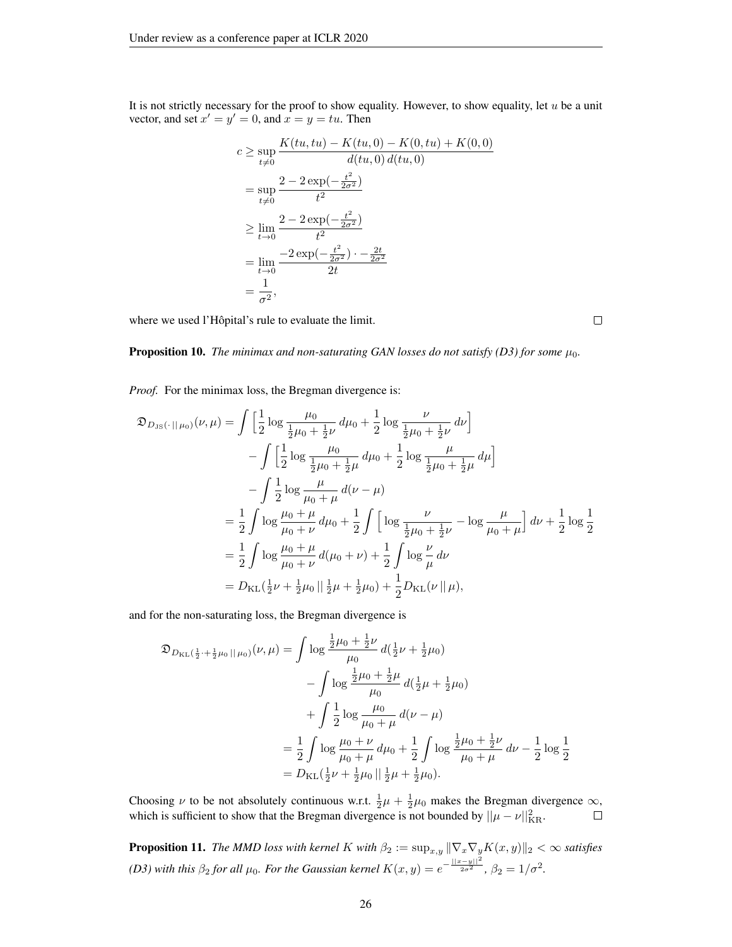It is not strictly necessary for the proof to show equality. However, to show equality, let  $u$  be a unit vector, and set  $x' = y' = 0$ , and  $x = y = tu$ . Then

$$
c \ge \sup_{t \ne 0} \frac{K(tu, tu) - K(tu, 0) - K(0, tu) + K(0, 0)}{d(tu, 0) d(tu, 0)}
$$
  
= 
$$
\sup_{t \ne 0} \frac{2 - 2 \exp(-\frac{t^2}{2\sigma^2})}{t^2}
$$
  

$$
\ge \lim_{t \to 0} \frac{2 - 2 \exp(-\frac{t^2}{2\sigma^2})}{t^2}
$$
  
= 
$$
\lim_{t \to 0} \frac{-2 \exp(-\frac{t^2}{2\sigma^2}) - \frac{2t}{2\sigma^2}}{2t}
$$
  
= 
$$
\frac{1}{\sigma^2},
$$

where we used l'Hôpital's rule to evaluate the limit.

**Proposition 10.** *The minimax and non-saturating GAN losses do not satisfy (D3) for some*  $\mu_0$ *.* 

*Proof.* For the minimax loss, the Bregman divergence is:

$$
\mathfrak{D}_{D_{\text{JS}}}(\cdot||\mu_{0})(\nu,\mu) = \int \left[\frac{1}{2}\log\frac{\mu_{0}}{\frac{1}{2}\mu_{0}+\frac{1}{2}\nu}d\mu_{0}+\frac{1}{2}\log\frac{\nu}{\frac{1}{2}\mu_{0}+\frac{1}{2}\nu}d\nu\right] \n- \int \left[\frac{1}{2}\log\frac{\mu_{0}}{\frac{1}{2}\mu_{0}+\frac{1}{2}\mu}d\mu_{0}+\frac{1}{2}\log\frac{\mu}{\frac{1}{2}\mu_{0}+\frac{1}{2}\mu}d\mu\right] \n- \int \frac{1}{2}\log\frac{\mu}{\mu_{0}+\mu}d(\nu-\mu) \n= \frac{1}{2}\int\log\frac{\mu_{0}+\mu}{\mu_{0}+\nu}d\mu_{0}+\frac{1}{2}\int\left[\log\frac{\nu}{\frac{1}{2}\mu_{0}+\frac{1}{2}\nu}-\log\frac{\mu}{\mu_{0}+\mu}\right]d\nu+\frac{1}{2}\log\frac{1}{2} \n= \frac{1}{2}\int\log\frac{\mu_{0}+\mu}{\mu_{0}+\nu}d(\mu_{0}+\nu)+\frac{1}{2}\int\log\frac{\nu}{\mu}d\nu \n= D_{\text{KL}}(\frac{1}{2}\nu+\frac{1}{2}\mu_{0})|\frac{1}{2}\mu+\frac{1}{2}\mu_{0})+\frac{1}{2}D_{\text{KL}}(\nu||\mu),
$$

and for the non-saturating loss, the Bregman divergence is

$$
\mathfrak{D}_{D_{\text{KL}}}(\frac{1}{2} + \frac{1}{2}\mu_0 \mid \mu_0)(\nu, \mu) = \int \log \frac{\frac{1}{2}\mu_0 + \frac{1}{2}\nu}{\mu_0} d(\frac{1}{2}\nu + \frac{1}{2}\mu_0)
$$

$$
- \int \log \frac{\frac{1}{2}\mu_0 + \frac{1}{2}\mu}{\mu_0} d(\frac{1}{2}\mu + \frac{1}{2}\mu_0)
$$

$$
+ \int \frac{1}{2} \log \frac{\mu_0}{\mu_0 + \mu} d(\nu - \mu)
$$

$$
= \frac{1}{2} \int \log \frac{\mu_0 + \nu}{\mu_0 + \mu} d\mu_0 + \frac{1}{2} \int \log \frac{\frac{1}{2}\mu_0 + \frac{1}{2}\nu}{\mu_0 + \mu} d\nu - \frac{1}{2} \log \frac{1}{2}
$$

$$
= D_{\text{KL}}(\frac{1}{2}\nu + \frac{1}{2}\mu_0 \mid \mid \frac{1}{2}\mu + \frac{1}{2}\mu_0).
$$

Choosing  $\nu$  to be not absolutely continuous w.r.t.  $\frac{1}{2}\mu + \frac{1}{2}\mu_0$  makes the Bregman divergence  $\infty$ , which is sufficient to show that the Bregman divergence is not bounded by  $||\mu - \nu||_{\text{KR}}^2$ .

**Proposition 11.** *The MMD loss with kernel* K *with*  $\beta_2 := \sup_{x,y} ||\nabla_x \nabla_y K(x,y)||_2 < \infty$  *satisfies (D3) with this*  $\beta_2$  *for all*  $\mu_0$ *. For the Gaussian kernel*  $K(x, y) = e^{-\frac{||x-y||^2}{2\sigma^2}}$ ,  $\beta_2 = 1/\sigma^2$ *.* 

 $\Box$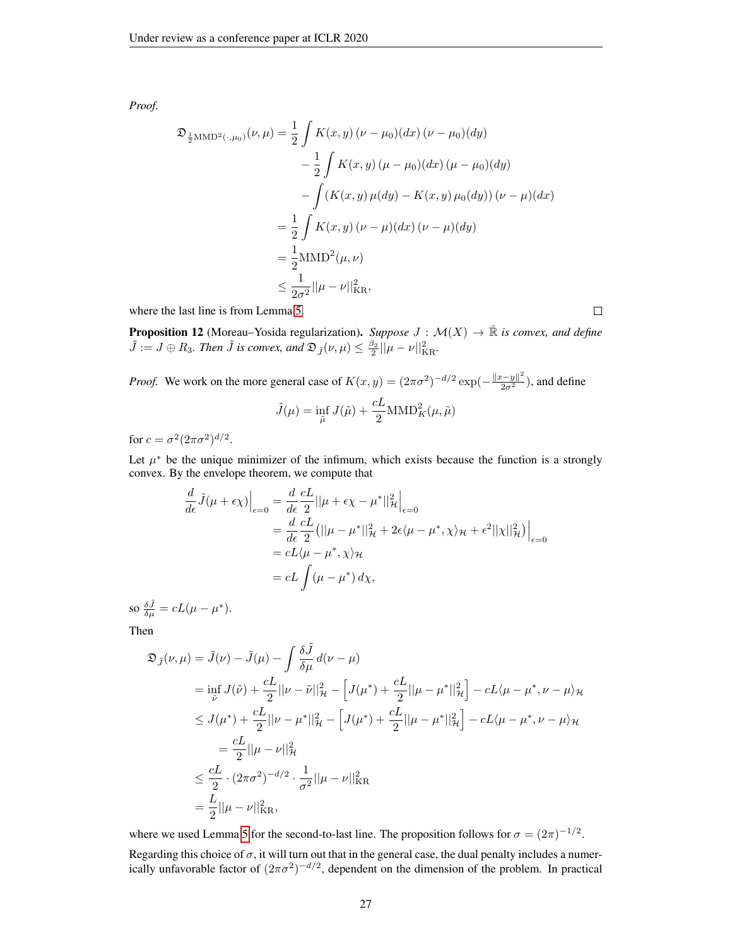*Proof.*

$$
\mathfrak{D}_{\frac{1}{2}MMD^{2}(\cdot,\mu_{0})}(\nu,\mu) = \frac{1}{2} \int K(x,y) (\nu - \mu_{0})(dx) (\nu - \mu_{0})(dy)
$$

$$
- \frac{1}{2} \int K(x,y) (\mu - \mu_{0})(dx) (\mu - \mu_{0})(dy)
$$

$$
- \int (K(x,y) \mu(dy) - K(x,y) \mu_{0}(dy)) (\nu - \mu)(dx)
$$

$$
= \frac{1}{2} \int K(x,y) (\nu - \mu)(dx) (\nu - \mu)(dy)
$$

$$
= \frac{1}{2} MMD^{2}(\mu, \nu)
$$

$$
\leq \frac{1}{2\sigma^{2}} ||\mu - \nu||^{2}_{KR},
$$

where the last line is from Lemma [5.](#page-23-0)

**Proposition 12** (Moreau–Yosida regularization). Suppose  $J : \mathcal{M}(X) \to \mathbb{R}$  is convex, and define  $\tilde{J} := J \oplus R_3$ . Then  $\tilde{J}$  is convex, and  $\mathfrak{D}_{\tilde{J}}(\nu,\mu) \leq \frac{\beta_2}{2} ||\mu - \nu||_{\text{KR}}^2$ .

*Proof.* We work on the more general case of  $K(x, y) = (2\pi\sigma^2)^{-d/2} \exp(-\frac{\|x-y\|^2}{2\sigma^2})$ , and define

$$
\tilde{J}(\mu) = \inf_{\tilde{\mu}} J(\tilde{\mu}) + \frac{cL}{2} \text{MMD}_{K}^{2}(\mu, \tilde{\mu})
$$

for  $c = \sigma^2 (2\pi\sigma^2)^{d/2}$ .

Let  $\mu^*$  be the unique minimizer of the infimum, which exists because the function is a strongly convex. By the envelope theorem, we compute that

$$
\frac{d}{d\epsilon}\tilde{J}(\mu + \epsilon \chi)\Big|_{\epsilon=0} = \frac{d}{d\epsilon}\frac{cL}{2}||\mu + \epsilon \chi - \mu^*||^2_{\mathcal{H}}\Big|_{\epsilon=0}
$$
  
\n
$$
= \frac{d}{d\epsilon}\frac{cL}{2} (||\mu - \mu^*||^2_{\mathcal{H}} + 2\epsilon \langle \mu - \mu^*, \chi \rangle_{\mathcal{H}} + \epsilon^2 ||\chi||^2_{\mathcal{H}}) \Big|_{\epsilon=0}
$$
  
\n
$$
= cL \langle \mu - \mu^*, \chi \rangle_{\mathcal{H}}
$$
  
\n
$$
= cL \int (\mu - \mu^*) d\chi,
$$

so  $\frac{\delta \tilde{J}}{\delta \mu} = cL(\mu - \mu^*).$ 

Then

$$
\mathfrak{D}_{\tilde{J}}(\nu,\mu) = \tilde{J}(\nu) - \tilde{J}(\mu) - \int \frac{\delta \tilde{J}}{\delta \mu} d(\nu - \mu)
$$
  
\n
$$
= \inf_{\tilde{\nu}} J(\tilde{\nu}) + \frac{cL}{2} ||\nu - \tilde{\nu}||_{\mathcal{H}}^2 - \left[J(\mu^*) + \frac{cL}{2} ||\mu - \mu^*||_{\mathcal{H}}^2\right] - cL\langle \mu - \mu^*, \nu - \mu \rangle_{\mathcal{H}}
$$
  
\n
$$
\leq J(\mu^*) + \frac{cL}{2} ||\nu - \mu^*||_{\mathcal{H}}^2 - \left[J(\mu^*) + \frac{cL}{2} ||\mu - \mu^*||_{\mathcal{H}}^2\right] - cL\langle \mu - \mu^*, \nu - \mu \rangle_{\mathcal{H}}
$$
  
\n
$$
= \frac{cL}{2} ||\mu - \nu||_{\mathcal{H}}^2
$$
  
\n
$$
\leq \frac{cL}{2} \cdot (2\pi\sigma^2)^{-d/2} \cdot \frac{1}{\sigma^2} ||\mu - \nu||_{\text{KR}}^2
$$
  
\n
$$
= \frac{L}{2} ||\mu - \nu||_{\text{KR}}^2,
$$

where we used Lemma [5](#page-23-0) for the second-to-last line. The proposition follows for  $\sigma = (2\pi)^{-1/2}$ .

Regarding this choice of  $\sigma$ , it will turn out that in the general case, the dual penalty includes a numerically unfavorable factor of  $(2\pi\sigma^2)^{-d/2}$ , dependent on the dimension of the problem. In practical

 $\Box$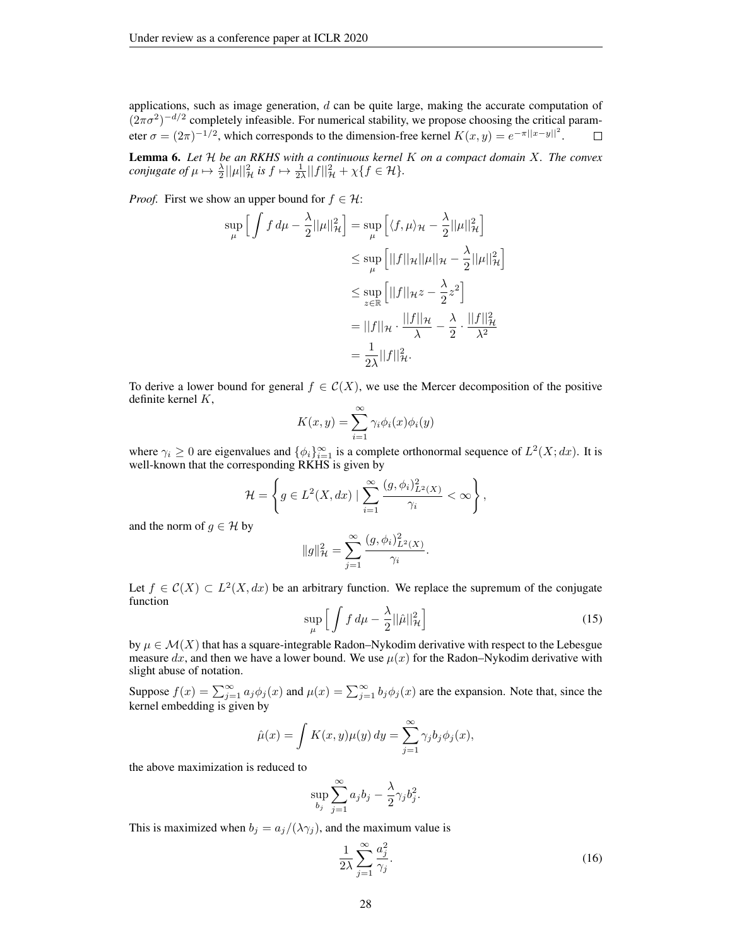applications, such as image generation,  $d$  can be quite large, making the accurate computation of  $(2\pi\sigma^2)^{-d/2}$  completely infeasible. For numerical stability, we propose choosing the critical parameter  $\sigma = (2\pi)^{-1/2}$ , which corresponds to the dimension-free kernel  $K(x, y) = e^{-\pi ||x-y||^2}$ .  $\Box$ 

Lemma 6. *Let* H *be an RKHS with a continuous kernel* K *on a compact domain* X*. The convex conjugate of*  $\mu \mapsto \frac{\lambda}{2} ||\mu||^2_{\mathcal{H}}$  *is*  $f \mapsto \frac{1}{2\lambda} ||f||^2_{\mathcal{H}} + \chi \{ f \in \mathcal{H} \}.$ 

*Proof.* First we show an upper bound for  $f \in \mathcal{H}$ :

$$
\sup_{\mu} \left[ \int f d\mu - \frac{\lambda}{2} ||\mu||_{\mathcal{H}}^2 \right] = \sup_{\mu} \left[ \langle f, \mu \rangle_{\mathcal{H}} - \frac{\lambda}{2} ||\mu||_{\mathcal{H}}^2 \right]
$$
  

$$
\leq \sup_{\mu} \left[ ||f||_{\mathcal{H}} ||\mu||_{\mathcal{H}} - \frac{\lambda}{2} ||\mu||_{\mathcal{H}}^2 \right]
$$
  

$$
\leq \sup_{z \in \mathbb{R}} \left[ ||f||_{\mathcal{H}} z - \frac{\lambda}{2} z^2 \right]
$$
  

$$
= ||f||_{\mathcal{H}} \cdot \frac{||f||_{\mathcal{H}}}{\lambda} - \frac{\lambda}{2} \cdot \frac{||f||_{\mathcal{H}}^2}{\lambda^2}
$$
  

$$
= \frac{1}{2\lambda} ||f||_{\mathcal{H}}^2.
$$

To derive a lower bound for general  $f \in \mathcal{C}(X)$ , we use the Mercer decomposition of the positive definite kernel K,

$$
K(x, y) = \sum_{i=1}^{\infty} \gamma_i \phi_i(x) \phi_i(y)
$$

where  $\gamma_i \geq 0$  are eigenvalues and  $\{\phi_i\}_{i=1}^{\infty}$  is a complete orthonormal sequence of  $L^2(X; dx)$ . It is well-known that the corresponding RKHS is given by

$$
\mathcal{H} = \left\{ g \in L^2(X, dx) \mid \sum_{i=1}^{\infty} \frac{(g, \phi_i)_{L^2(X)}^2}{\gamma_i} < \infty \right\},\,
$$

and the norm of  $g \in \mathcal{H}$  by

$$
||g||_{\mathcal{H}}^{2} = \sum_{j=1}^{\infty} \frac{(g, \phi_{i})_{L^{2}(X)}^{2}}{\gamma_{i}}.
$$

Let  $f \in C(X) \subset L^2(X, dx)$  be an arbitrary function. We replace the supremum of the conjugate function

$$
\sup_{\mu} \left[ \int f \, d\mu - \frac{\lambda}{2} ||\hat{\mu}||^2_{\mathcal{H}} \right] \tag{15}
$$

by  $\mu \in \mathcal{M}(X)$  that has a square-integrable Radon–Nykodim derivative with respect to the Lebesgue measure dx, and then we have a lower bound. We use  $\mu(x)$  for the Radon–Nykodim derivative with slight abuse of notation.

Suppose  $f(x) = \sum_{j=1}^{\infty} a_j \phi_j(x)$  and  $\mu(x) = \sum_{j=1}^{\infty} b_j \phi_j(x)$  are the expansion. Note that, since the kernel embedding is given by

$$
\hat{\mu}(x) = \int K(x, y)\mu(y) dy = \sum_{j=1}^{\infty} \gamma_j b_j \phi_j(x),
$$

the above maximization is reduced to

$$
\sup_{b_j} \sum_{j=1}^{\infty} a_j b_j - \frac{\lambda}{2} \gamma_j b_j^2.
$$

This is maximized when  $b_j = a_j/(\lambda \gamma_j)$ , and the maximum value is

<span id="page-27-0"></span>
$$
\frac{1}{2\lambda} \sum_{j=1}^{\infty} \frac{a_j^2}{\gamma_j}.
$$
\n(16)